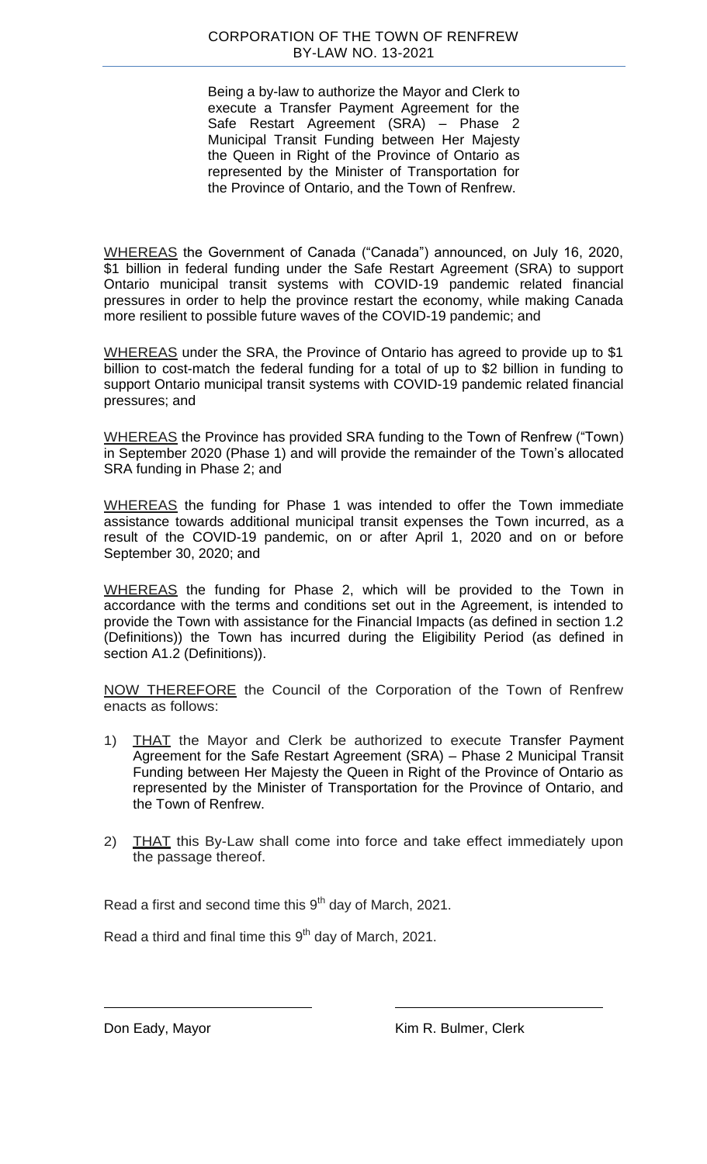Being a by-law to authorize the Mayor and Clerk to execute a Transfer Payment Agreement for the Safe Restart Agreement (SRA) – Phase 2 Municipal Transit Funding between Her Majesty the Queen in Right of the Province of Ontario as represented by the Minister of Transportation for the Province of Ontario, and the Town of Renfrew.

WHEREAS the Government of Canada ("Canada") announced, on July 16, 2020, \$1 billion in federal funding under the Safe Restart Agreement (SRA) to support Ontario municipal transit systems with COVID-19 pandemic related financial pressures in order to help the province restart the economy, while making Canada more resilient to possible future waves of the COVID-19 pandemic; and

WHEREAS under the SRA, the Province of Ontario has agreed to provide up to \$1 billion to cost-match the federal funding for a total of up to \$2 billion in funding to support Ontario municipal transit systems with COVID-19 pandemic related financial pressures; and

WHEREAS the Province has provided SRA funding to the Town of Renfrew ("Town) in September 2020 (Phase 1) and will provide the remainder of the Town's allocated SRA funding in Phase 2; and

WHEREAS the funding for Phase 1 was intended to offer the Town immediate assistance towards additional municipal transit expenses the Town incurred, as a result of the COVID-19 pandemic, on or after April 1, 2020 and on or before September 30, 2020; and

WHEREAS the funding for Phase 2, which will be provided to the Town in accordance with the terms and conditions set out in the Agreement, is intended to provide the Town with assistance for the Financial Impacts (as defined in section 1.2 (Definitions)) the Town has incurred during the Eligibility Period (as defined in section A1.2 (Definitions)).

NOW THEREFORE the Council of the Corporation of the Town of Renfrew enacts as follows:

- 1) THAT the Mayor and Clerk be authorized to execute Transfer Payment Agreement for the Safe Restart Agreement (SRA) – Phase 2 Municipal Transit Funding between Her Majesty the Queen in Right of the Province of Ontario as represented by the Minister of Transportation for the Province of Ontario, and the Town of Renfrew.
- 2) THAT this By-Law shall come into force and take effect immediately upon the passage thereof.

Read a first and second time this  $9<sup>th</sup>$  day of March, 2021.

Read a third and final time this  $9<sup>th</sup>$  day of March, 2021.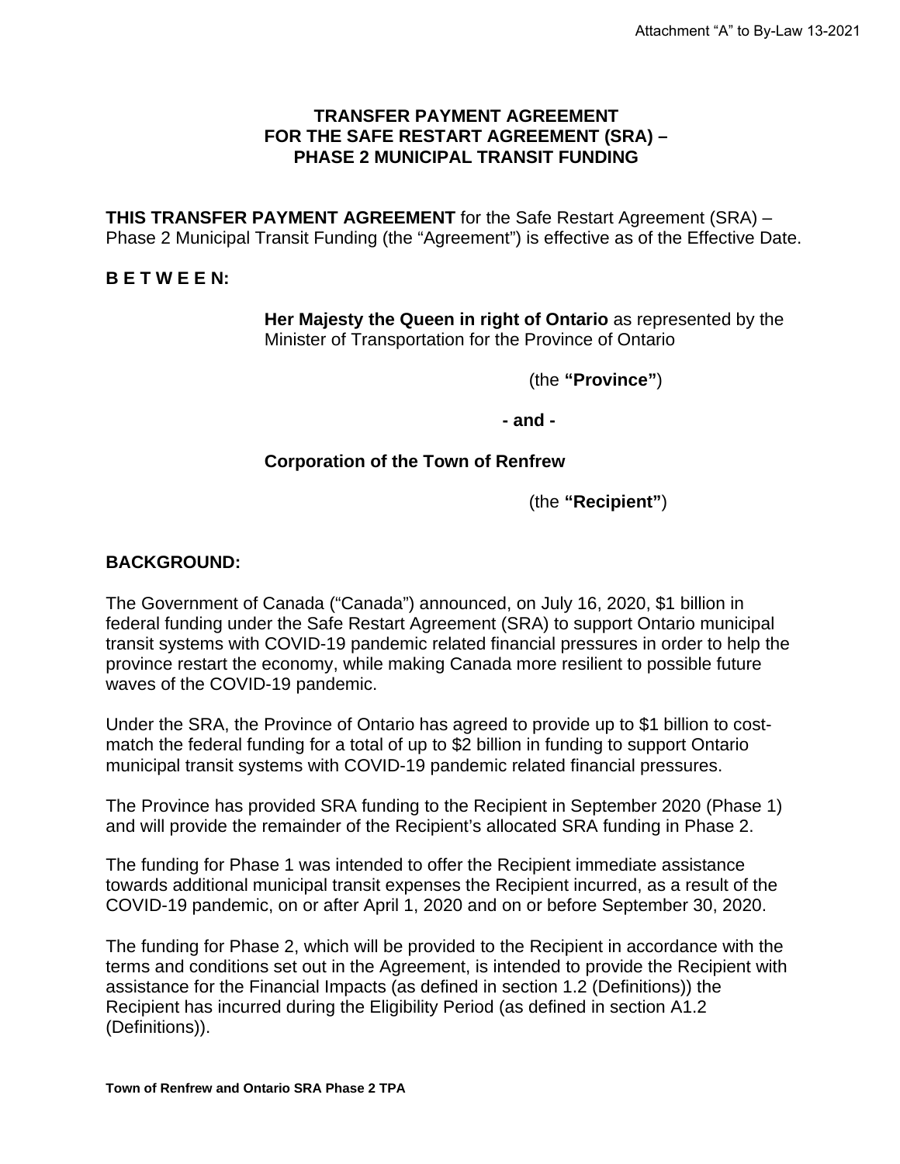### **TRANSFER PAYMENT AGREEMENT FOR THE SAFE RESTART AGREEMENT (SRA) – PHASE 2 MUNICIPAL TRANSIT FUNDING**

**THIS TRANSFER PAYMENT AGREEMENT** for the Safe Restart Agreement (SRA) – Phase 2 Municipal Transit Funding (the "Agreement") is effective as of the Effective Date.

### **B E T W E E N:**

**Her Majesty the Queen in right of Ontario** as represented by the Minister of Transportation for the Province of Ontario

(the **"Province"**)

**- and -**

### **Corporation of the Town of Renfrew**

(the **"Recipient"**)

### **BACKGROUND:**

The Government of Canada ("Canada") announced, on July 16, 2020, \$1 billion in federal funding under the Safe Restart Agreement (SRA) to support Ontario municipal transit systems with COVID-19 pandemic related financial pressures in order to help the province restart the economy, while making Canada more resilient to possible future waves of the COVID-19 pandemic.

Under the SRA, the Province of Ontario has agreed to provide up to \$1 billion to costmatch the federal funding for a total of up to \$2 billion in funding to support Ontario municipal transit systems with COVID-19 pandemic related financial pressures.

The Province has provided SRA funding to the Recipient in September 2020 (Phase 1) and will provide the remainder of the Recipient's allocated SRA funding in Phase 2.

The funding for Phase 1 was intended to offer the Recipient immediate assistance towards additional municipal transit expenses the Recipient incurred, as a result of the COVID-19 pandemic, on or after April 1, 2020 and on or before September 30, 2020.

The funding for Phase 2, which will be provided to the Recipient in accordance with the terms and conditions set out in the Agreement, is intended to provide the Recipient with assistance for the Financial Impacts (as defined in section 1.2 (Definitions)) the Recipient has incurred during the Eligibility Period (as defined in section A1.2 (Definitions)).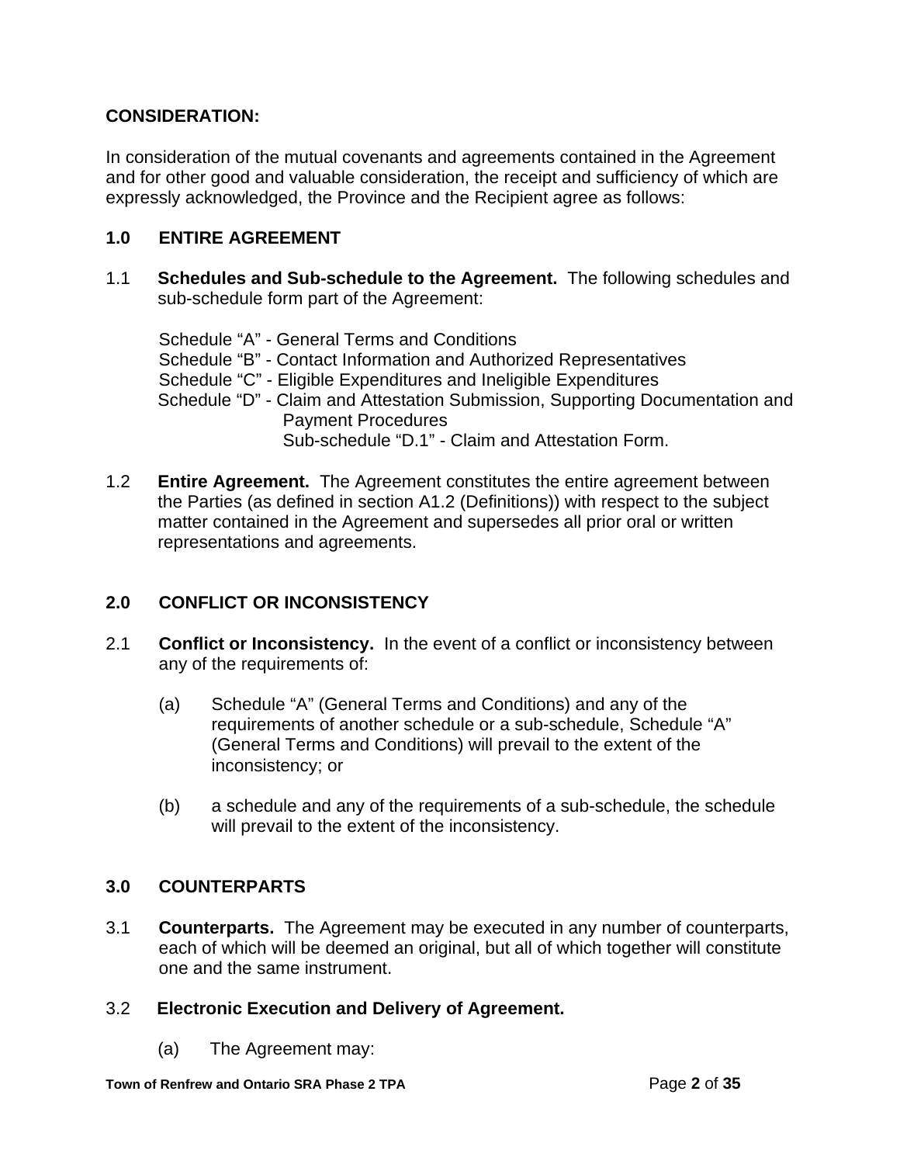## **CONSIDERATION:**

In consideration of the mutual covenants and agreements contained in the Agreement and for other good and valuable consideration, the receipt and sufficiency of which are expressly acknowledged, the Province and the Recipient agree as follows:

## **1.0 ENTIRE AGREEMENT**

1.1 **Schedules and Sub-schedule to the Agreement.** The following schedules and sub-schedule form part of the Agreement:

Schedule "A" - General Terms and Conditions Schedule "B" - Contact Information and Authorized Representatives Schedule "C" - Eligible Expenditures and Ineligible Expenditures Schedule "D" - Claim and Attestation Submission, Supporting Documentation and Payment Procedures Sub-schedule "D.1" - Claim and Attestation Form.

1.2 **Entire Agreement.** The Agreement constitutes the entire agreement between the Parties (as defined in section A1.2 (Definitions)) with respect to the subject matter contained in the Agreement and supersedes all prior oral or written representations and agreements.

### **2.0 CONFLICT OR INCONSISTENCY**

- 2.1 **Conflict or Inconsistency.** In the event of a conflict or inconsistency between any of the requirements of:
	- (a) Schedule "A" (General Terms and Conditions) and any of the requirements of another schedule or a sub-schedule, Schedule "A" (General Terms and Conditions) will prevail to the extent of the inconsistency; or
	- (b) a schedule and any of the requirements of a sub-schedule, the schedule will prevail to the extent of the inconsistency.

# **3.0 COUNTERPARTS**

3.1 **Counterparts.** The Agreement may be executed in any number of counterparts, each of which will be deemed an original, but all of which together will constitute one and the same instrument.

# 3.2 **Electronic Execution and Delivery of Agreement.**

(a) The Agreement may: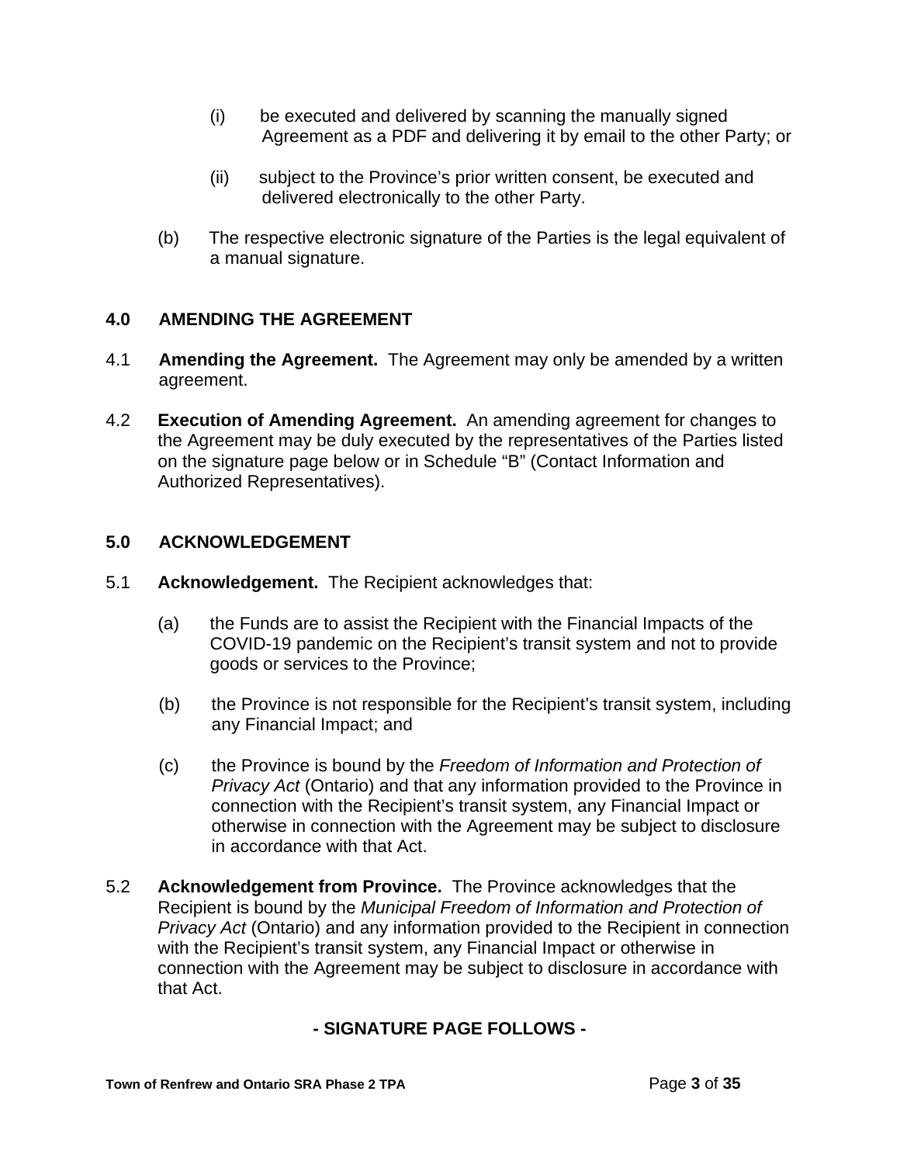- (i) be executed and delivered by scanning the manually signed Agreement as a PDF and delivering it by email to the other Party; or
- (ii) subject to the Province's prior written consent, be executed and delivered electronically to the other Party.
- (b) The respective electronic signature of the Parties is the legal equivalent of a manual signature.

# **4.0 AMENDING THE AGREEMENT**

- 4.1 **Amending the Agreement.** The Agreement may only be amended by a written agreement.
- 4.2 **Execution of Amending Agreement.** An amending agreement for changes to the Agreement may be duly executed by the representatives of the Parties listed on the signature page below or in Schedule "B" (Contact Information and Authorized Representatives).

### **5.0 ACKNOWLEDGEMENT**

- 5.1 **Acknowledgement.** The Recipient acknowledges that:
	- (a) the Funds are to assist the Recipient with the Financial Impacts of the COVID-19 pandemic on the Recipient's transit system and not to provide goods or services to the Province;
	- (b) the Province is not responsible for the Recipient's transit system, including any Financial Impact; and
	- (c) the Province is bound by the *Freedom of Information and Protection of Privacy Act* (Ontario) and that any information provided to the Province in connection with the Recipient's transit system, any Financial Impact or otherwise in connection with the Agreement may be subject to disclosure in accordance with that Act.
- 5.2 **Acknowledgement from Province.** The Province acknowledges that the Recipient is bound by the *Municipal Freedom of Information and Protection of Privacy Act* (Ontario) and any information provided to the Recipient in connection with the Recipient's transit system, any Financial Impact or otherwise in connection with the Agreement may be subject to disclosure in accordance with that Act.

# **- SIGNATURE PAGE FOLLOWS -**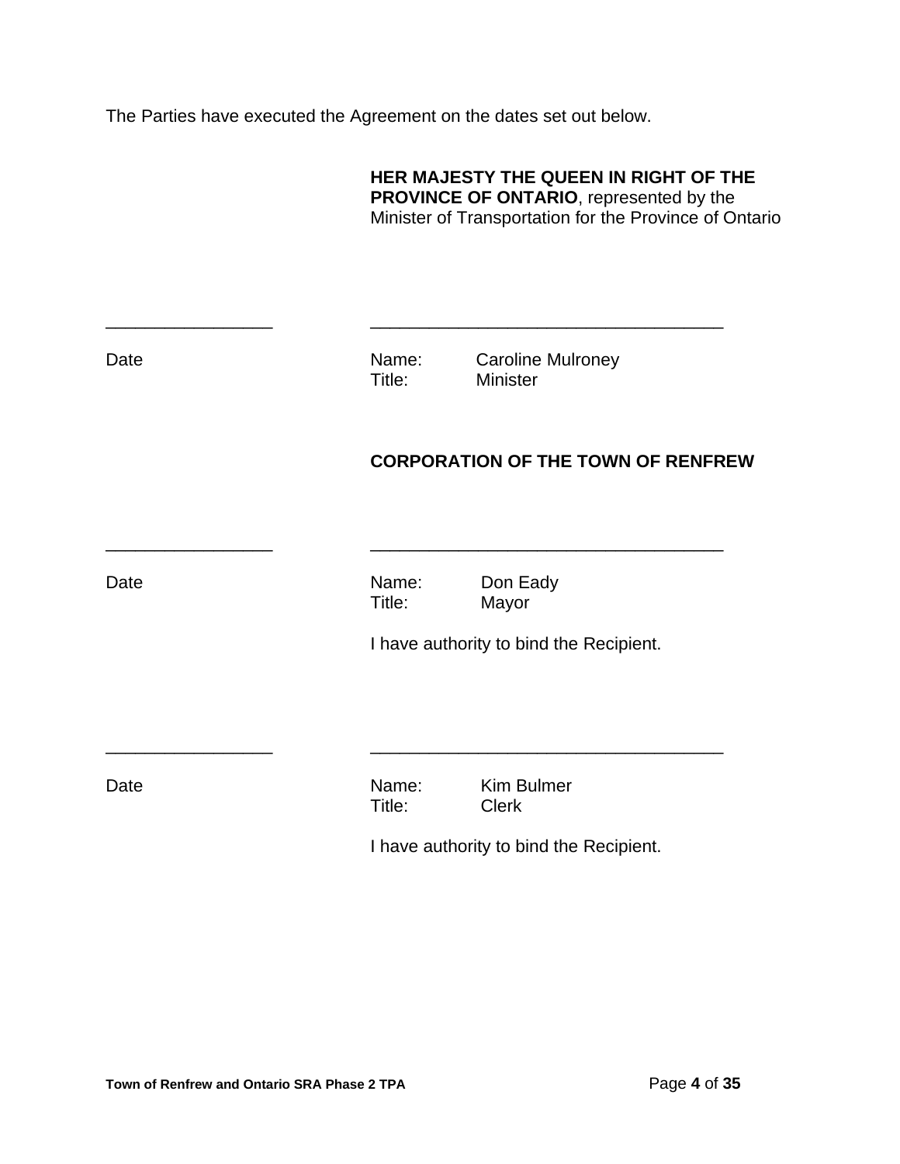The Parties have executed the Agreement on the dates set out below.

|      | HER MAJESTY THE QUEEN IN RIGHT OF THE<br><b>PROVINCE OF ONTARIO, represented by the</b><br>Minister of Transportation for the Province of Ontario |                                             |  |  |  |  |
|------|---------------------------------------------------------------------------------------------------------------------------------------------------|---------------------------------------------|--|--|--|--|
| Date | Name:<br>Title:                                                                                                                                   | <b>Caroline Mulroney</b><br><b>Minister</b> |  |  |  |  |
|      |                                                                                                                                                   | <b>CORPORATION OF THE TOWN OF RENFREW</b>   |  |  |  |  |
| Date | Name:<br>Title:                                                                                                                                   | Don Eady<br>Mayor                           |  |  |  |  |
|      |                                                                                                                                                   | I have authority to bind the Recipient.     |  |  |  |  |
| Date | Name:<br>Title:                                                                                                                                   | <b>Kim Bulmer</b><br><b>Clerk</b>           |  |  |  |  |
|      |                                                                                                                                                   | I have authority to bind the Recipient.     |  |  |  |  |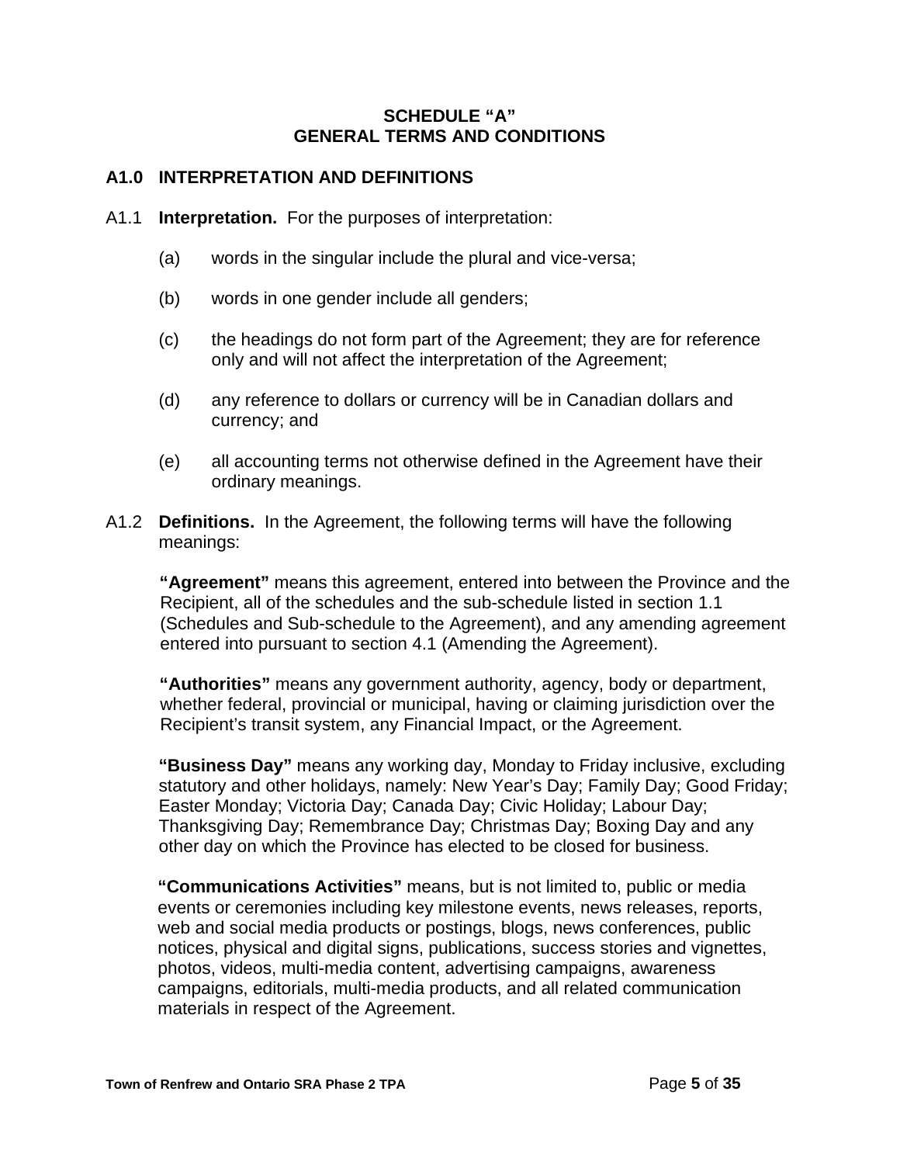### **SCHEDULE "A" GENERAL TERMS AND CONDITIONS**

### **A1.0 INTERPRETATION AND DEFINITIONS**

- A1.1 **Interpretation.** For the purposes of interpretation:
	- (a) words in the singular include the plural and vice-versa;
	- (b) words in one gender include all genders;
	- (c) the headings do not form part of the Agreement; they are for reference only and will not affect the interpretation of the Agreement;
	- (d) any reference to dollars or currency will be in Canadian dollars and currency; and
	- (e) all accounting terms not otherwise defined in the Agreement have their ordinary meanings.
- A1.2 **Definitions.** In the Agreement, the following terms will have the following meanings:

**"Agreement"** means this agreement, entered into between the Province and the Recipient, all of the schedules and the sub-schedule listed in section 1.1 (Schedules and Sub-schedule to the Agreement), and any amending agreement entered into pursuant to section 4.1 (Amending the Agreement).

**"Authorities"** means any government authority, agency, body or department, whether federal, provincial or municipal, having or claiming jurisdiction over the Recipient's transit system, any Financial Impact, or the Agreement.

**"Business Day"** means any working day, Monday to Friday inclusive, excluding statutory and other holidays, namely: New Year's Day; Family Day; Good Friday; Easter Monday; Victoria Day; Canada Day; Civic Holiday; Labour Day; Thanksgiving Day; Remembrance Day; Christmas Day; Boxing Day and any other day on which the Province has elected to be closed for business.

**"Communications Activities"** means, but is not limited to, public or media events or ceremonies including key milestone events, news releases, reports, web and social media products or postings, blogs, news conferences, public notices, physical and digital signs, publications, success stories and vignettes, photos, videos, multi-media content, advertising campaigns, awareness campaigns, editorials, multi-media products, and all related communication materials in respect of the Agreement.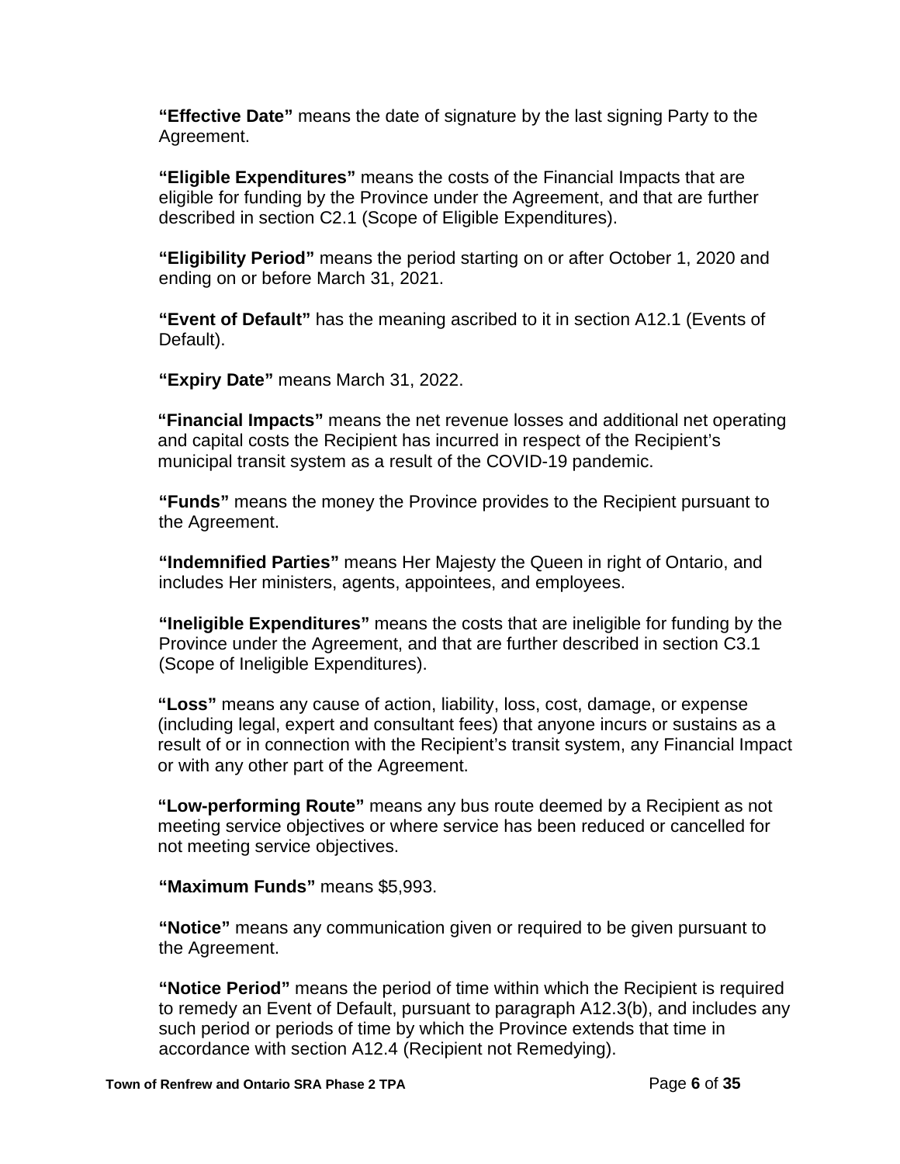**"Effective Date"** means the date of signature by the last signing Party to the Agreement.

**"Eligible Expenditures"** means the costs of the Financial Impacts that are eligible for funding by the Province under the Agreement, and that are further described in section C2.1 (Scope of Eligible Expenditures).

**"Eligibility Period"** means the period starting on or after October 1, 2020 and ending on or before March 31, 2021.

**"Event of Default"** has the meaning ascribed to it in section A12.1 (Events of Default).

**"Expiry Date"** means March 31, 2022.

**"Financial Impacts"** means the net revenue losses and additional net operating and capital costs the Recipient has incurred in respect of the Recipient's municipal transit system as a result of the COVID-19 pandemic.

**"Funds"** means the money the Province provides to the Recipient pursuant to the Agreement.

**"Indemnified Parties"** means Her Majesty the Queen in right of Ontario, and includes Her ministers, agents, appointees, and employees.

**"Ineligible Expenditures"** means the costs that are ineligible for funding by the Province under the Agreement, and that are further described in section C3.1 (Scope of Ineligible Expenditures).

**"Loss"** means any cause of action, liability, loss, cost, damage, or expense (including legal, expert and consultant fees) that anyone incurs or sustains as a result of or in connection with the Recipient's transit system, any Financial Impact or with any other part of the Agreement.

**"Low-performing Route"** means any bus route deemed by a Recipient as not meeting service objectives or where service has been reduced or cancelled for not meeting service objectives.

**"Maximum Funds"** means \$5,993.

**"Notice"** means any communication given or required to be given pursuant to the Agreement.

**"Notice Period"** means the period of time within which the Recipient is required to remedy an Event of Default, pursuant to paragraph A12.3(b), and includes any such period or periods of time by which the Province extends that time in accordance with section A12.4 (Recipient not Remedying).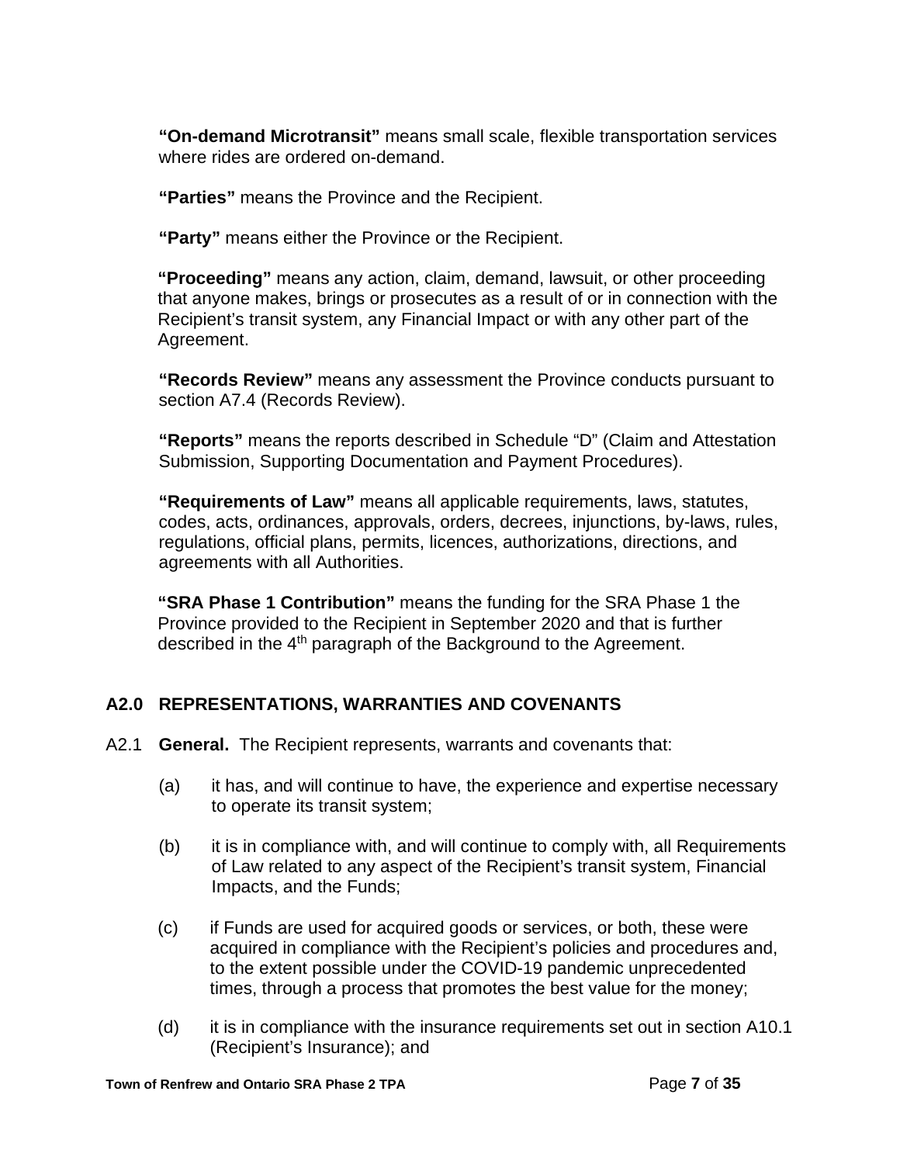**"On-demand Microtransit"** means small scale, flexible transportation services where rides are ordered on-demand.

**"Parties"** means the Province and the Recipient.

**"Party"** means either the Province or the Recipient.

**"Proceeding"** means any action, claim, demand, lawsuit, or other proceeding that anyone makes, brings or prosecutes as a result of or in connection with the Recipient's transit system, any Financial Impact or with any other part of the Agreement.

**"Records Review"** means any assessment the Province conducts pursuant to section A7.4 (Records Review).

**"Reports"** means the reports described in Schedule "D" (Claim and Attestation Submission, Supporting Documentation and Payment Procedures).

**"Requirements of Law"** means all applicable requirements, laws, statutes, codes, acts, ordinances, approvals, orders, decrees, injunctions, by-laws, rules, regulations, official plans, permits, licences, authorizations, directions, and agreements with all Authorities.

**"SRA Phase 1 Contribution"** means the funding for the SRA Phase 1 the Province provided to the Recipient in September 2020 and that is further described in the 4<sup>th</sup> paragraph of the Background to the Agreement.

# **A2.0 REPRESENTATIONS, WARRANTIES AND COVENANTS**

- A2.1 **General.**The Recipient represents, warrants and covenants that:
	- (a) it has, and will continue to have, the experience and expertise necessary to operate its transit system;
	- (b) it is in compliance with, and will continue to comply with, all Requirements of Law related to any aspect of the Recipient's transit system, Financial Impacts, and the Funds;
	- (c) if Funds are used for acquired goods or services, or both, these were acquired in compliance with the Recipient's policies and procedures and, to the extent possible under the COVID-19 pandemic unprecedented times, through a process that promotes the best value for the money;
	- (d) it is in compliance with the insurance requirements set out in section A10.1 (Recipient's Insurance); and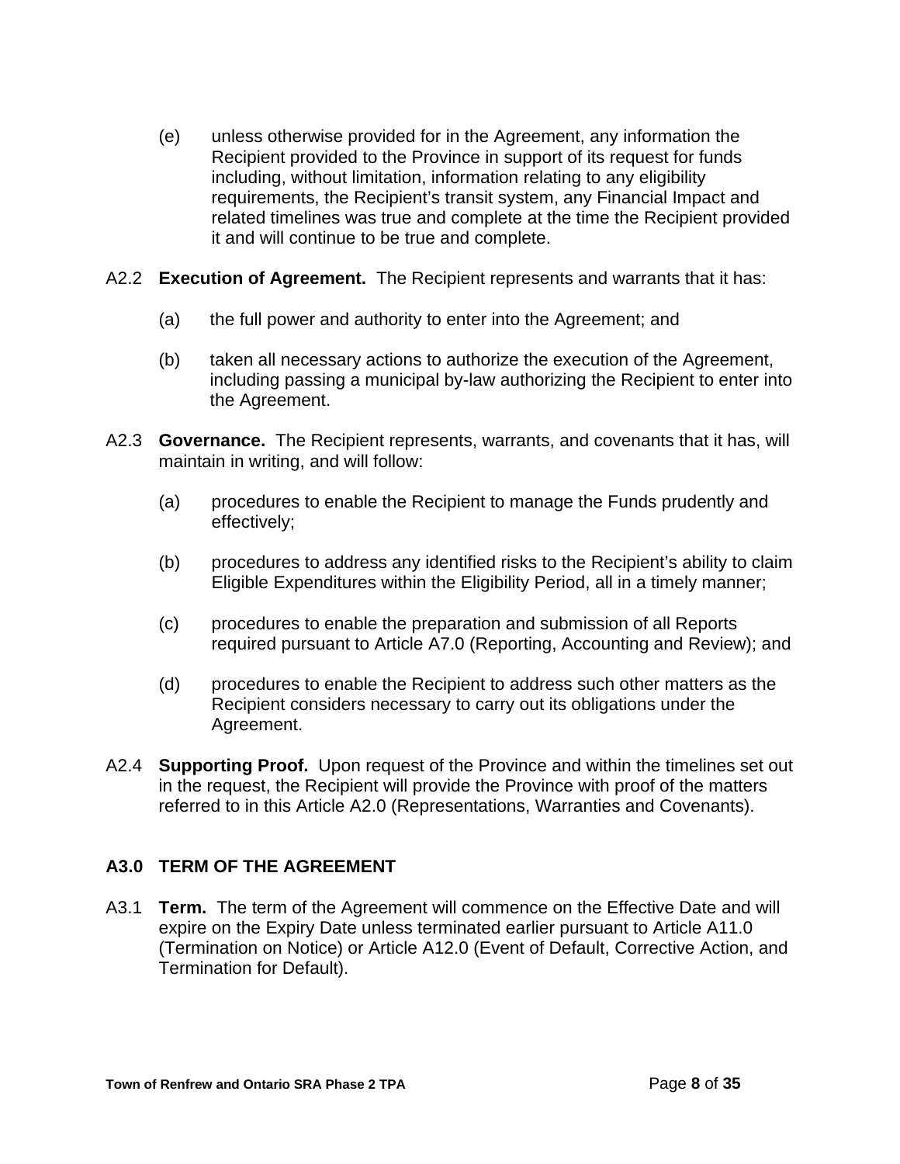(e) unless otherwise provided for in the Agreement, any information the Recipient provided to the Province in support of its request for funds including, without limitation, information relating to any eligibility requirements, the Recipient's transit system, any Financial Impact and related timelines was true and complete at the time the Recipient provided it and will continue to be true and complete.

### A2.2 **Execution of Agreement.** The Recipient represents and warrants that it has:

- (a) the full power and authority to enter into the Agreement; and
- (b) taken all necessary actions to authorize the execution of the Agreement, including passing a municipal by-law authorizing the Recipient to enter into the Agreement.
- A2.3 **Governance.** The Recipient represents, warrants, and covenants that it has, will maintain in writing, and will follow:
	- (a) procedures to enable the Recipient to manage the Funds prudently and effectively;
	- (b) procedures to address any identified risks to the Recipient's ability to claim Eligible Expenditures within the Eligibility Period, all in a timely manner;
	- (c) procedures to enable the preparation and submission of all Reports required pursuant to Article A7.0 (Reporting, Accounting and Review); and
	- (d) procedures to enable the Recipient to address such other matters as the Recipient considers necessary to carry out its obligations under the Agreement.
- A2.4 **Supporting Proof.** Upon request of the Province and within the timelines set out in the request, the Recipient will provide the Province with proof of the matters referred to in this Article A2.0 (Representations, Warranties and Covenants).

# **A3.0 TERM OF THE AGREEMENT**

A3.1 **Term.** The term of the Agreement will commence on the Effective Date and will expire on the Expiry Date unless terminated earlier pursuant to Article A11.0 (Termination on Notice) or Article A12.0 (Event of Default, Corrective Action, and Termination for Default).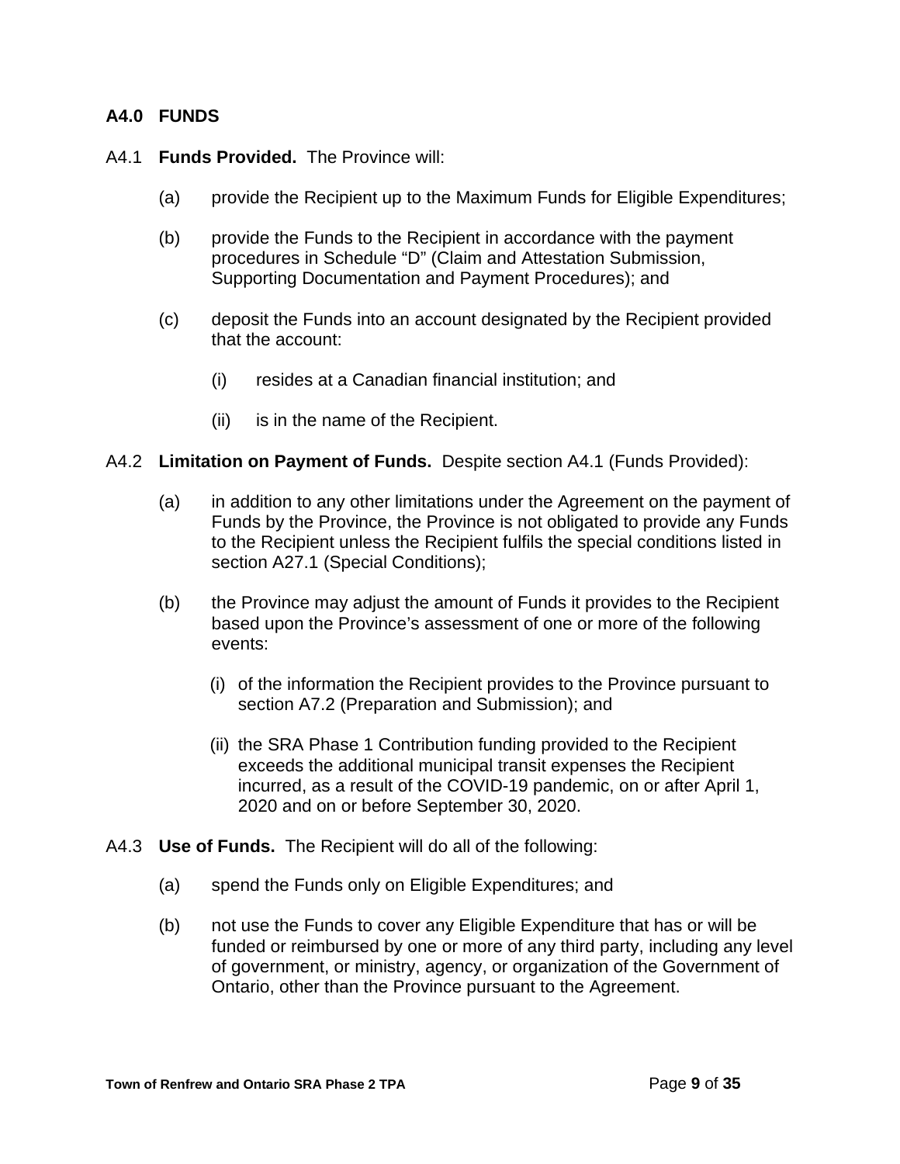### **A4.0 FUNDS**

### A4.1 **Funds Provided.** The Province will:

- (a) provide the Recipient up to the Maximum Funds for Eligible Expenditures;
- (b) provide the Funds to the Recipient in accordance with the payment procedures in Schedule "D" (Claim and Attestation Submission, Supporting Documentation and Payment Procedures); and
- (c) deposit the Funds into an account designated by the Recipient provided that the account:
	- (i) resides at a Canadian financial institution; and
	- (ii) is in the name of the Recipient.

#### A4.2 **Limitation on Payment of Funds.** Despite section A4.1 (Funds Provided):

- (a) in addition to any other limitations under the Agreement on the payment of Funds by the Province, the Province is not obligated to provide any Funds to the Recipient unless the Recipient fulfils the special conditions listed in section A27.1 (Special Conditions);
- (b) the Province may adjust the amount of Funds it provides to the Recipient based upon the Province's assessment of one or more of the following events:
	- (i) of the information the Recipient provides to the Province pursuant to section A7.2 (Preparation and Submission); and
	- (ii) the SRA Phase 1 Contribution funding provided to the Recipient exceeds the additional municipal transit expenses the Recipient incurred, as a result of the COVID-19 pandemic, on or after April 1, 2020 and on or before September 30, 2020.
- A4.3 **Use of Funds.** The Recipient will do all of the following:
	- (a) spend the Funds only on Eligible Expenditures; and
	- (b) not use the Funds to cover any Eligible Expenditure that has or will be funded or reimbursed by one or more of any third party, including any level of government, or ministry, agency, or organization of the Government of Ontario, other than the Province pursuant to the Agreement.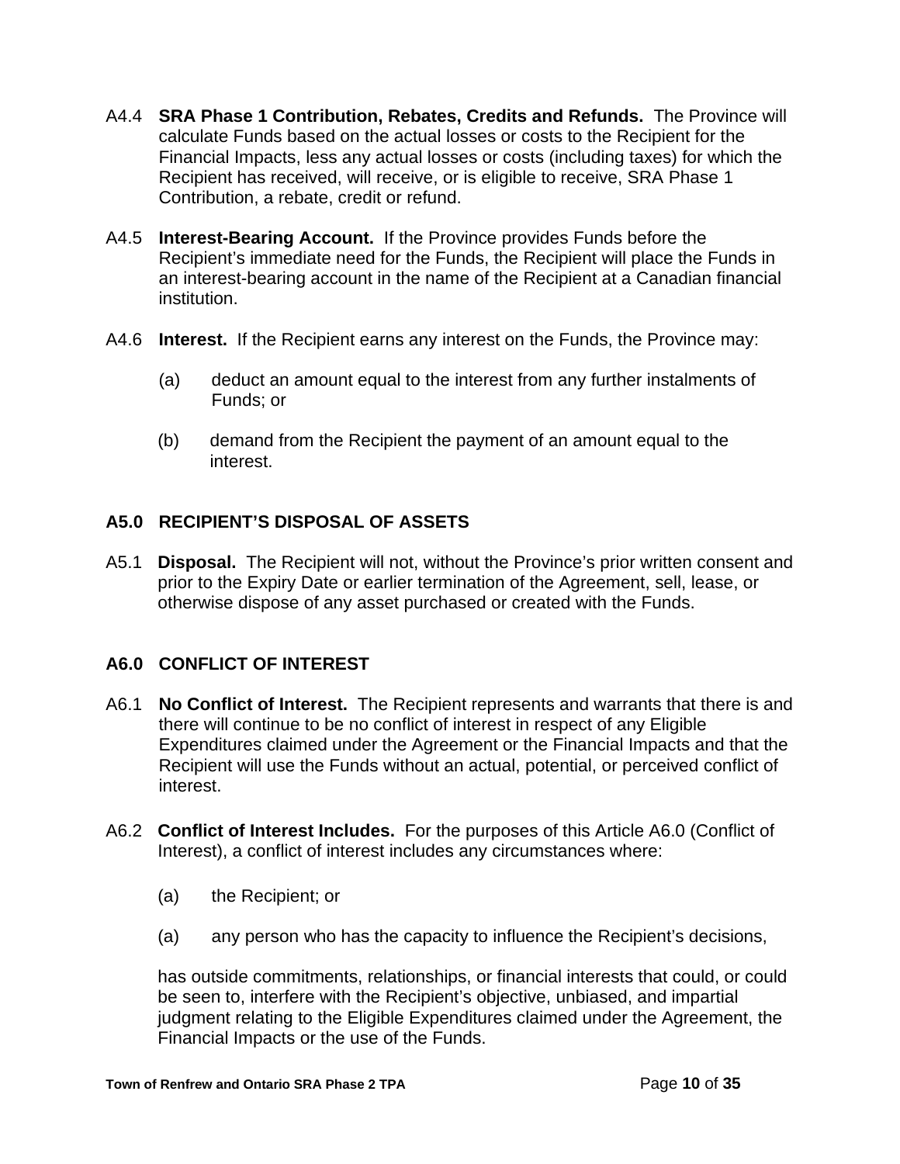- A4.4 **SRA Phase 1 Contribution, Rebates, Credits and Refunds.** The Province will calculate Funds based on the actual losses or costs to the Recipient for the Financial Impacts, less any actual losses or costs (including taxes) for which the Recipient has received, will receive, or is eligible to receive, SRA Phase 1 Contribution, a rebate, credit or refund.
- A4.5 **Interest-Bearing Account.** If the Province provides Funds before the Recipient's immediate need for the Funds, the Recipient will place the Funds in an interest-bearing account in the name of the Recipient at a Canadian financial institution.
- A4.6 **Interest.** If the Recipient earns any interest on the Funds, the Province may:
	- (a) deduct an amount equal to the interest from any further instalments of Funds; or
	- (b) demand from the Recipient the payment of an amount equal to the interest.

# **A5.0 RECIPIENT'S DISPOSAL OF ASSETS**

A5.1 **Disposal.** The Recipient will not, without the Province's prior written consent and prior to the Expiry Date or earlier termination of the Agreement, sell, lease, or otherwise dispose of any asset purchased or created with the Funds.

# **A6.0 CONFLICT OF INTEREST**

- A6.1 **No Conflict of Interest.**The Recipient represents and warrants that there is and there will continue to be no conflict of interest in respect of any Eligible Expenditures claimed under the Agreement or the Financial Impacts and that the Recipient will use the Funds without an actual, potential, or perceived conflict of interest.
- A6.2 **Conflict of Interest Includes.** For the purposes of this Article A6.0 (Conflict of Interest), a conflict of interest includes any circumstances where:
	- (a) the Recipient; or
	- (a) any person who has the capacity to influence the Recipient's decisions,

has outside commitments, relationships, or financial interests that could, or could be seen to, interfere with the Recipient's objective, unbiased, and impartial judgment relating to the Eligible Expenditures claimed under the Agreement, the Financial Impacts or the use of the Funds.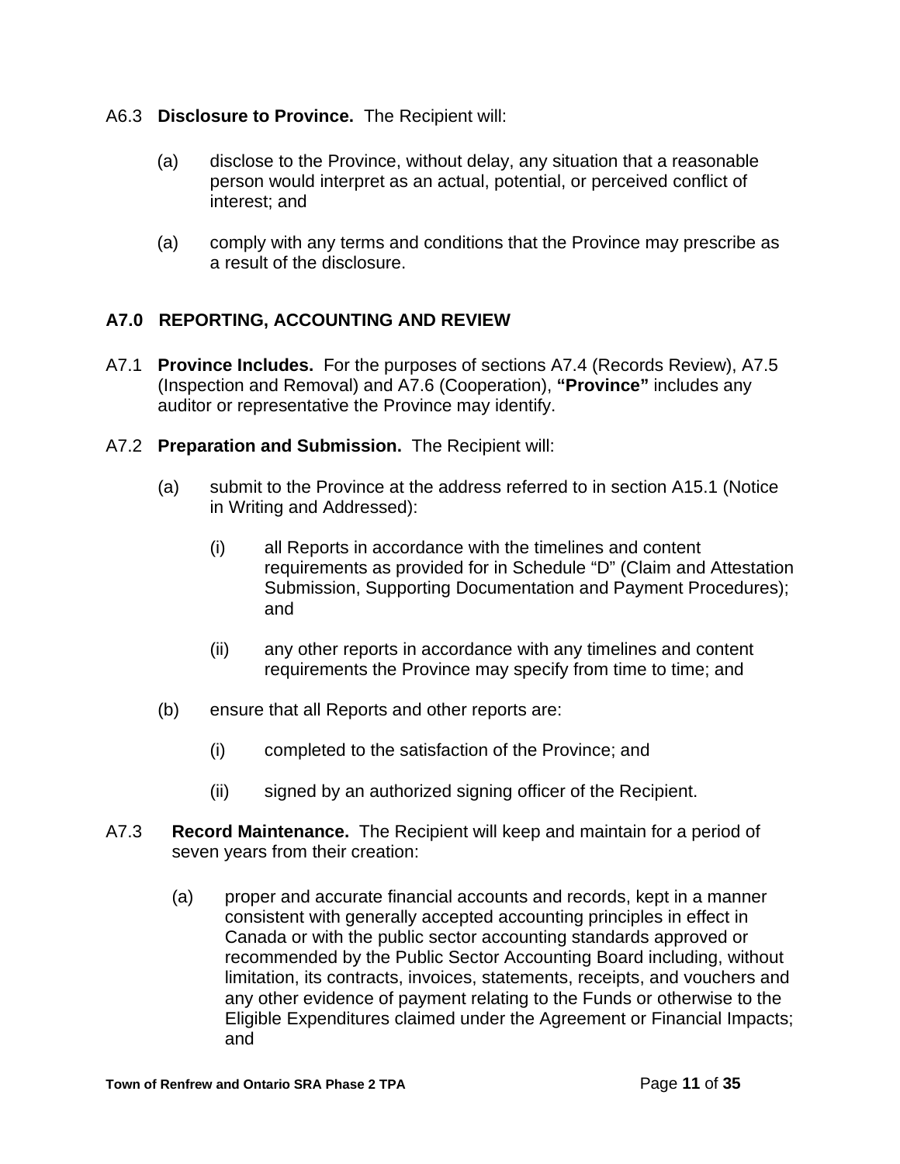### A6.3 **Disclosure to Province.** The Recipient will:

- (a) disclose to the Province, without delay, any situation that a reasonable person would interpret as an actual, potential, or perceived conflict of interest; and
- (a) comply with any terms and conditions that the Province may prescribe as a result of the disclosure.

## **A7.0 REPORTING, ACCOUNTING AND REVIEW**

- A7.1 **Province Includes.** For the purposes of sections A7.4 (Records Review), A7.5 (Inspection and Removal) and A7.6 (Cooperation), **"Province"** includes any auditor or representative the Province may identify.
- A7.2 **Preparation and Submission.** The Recipient will:
	- (a) submit to the Province at the address referred to in section A15.1 (Notice in Writing and Addressed):
		- (i) all Reports in accordance with the timelines and content requirements as provided for in Schedule "D" (Claim and Attestation Submission, Supporting Documentation and Payment Procedures); and
		- (ii) any other reports in accordance with any timelines and content requirements the Province may specify from time to time; and
	- (b) ensure that all Reports and other reports are:
		- (i) completed to the satisfaction of the Province; and
		- (ii) signed by an authorized signing officer of the Recipient.
- A7.3 **Record Maintenance.** The Recipient will keep and maintain for a period of seven years from their creation:
	- (a) proper and accurate financial accounts and records, kept in a manner consistent with generally accepted accounting principles in effect in Canada or with the public sector accounting standards approved or recommended by the Public Sector Accounting Board including, without limitation, its contracts, invoices, statements, receipts, and vouchers and any other evidence of payment relating to the Funds or otherwise to the Eligible Expenditures claimed under the Agreement or Financial Impacts; and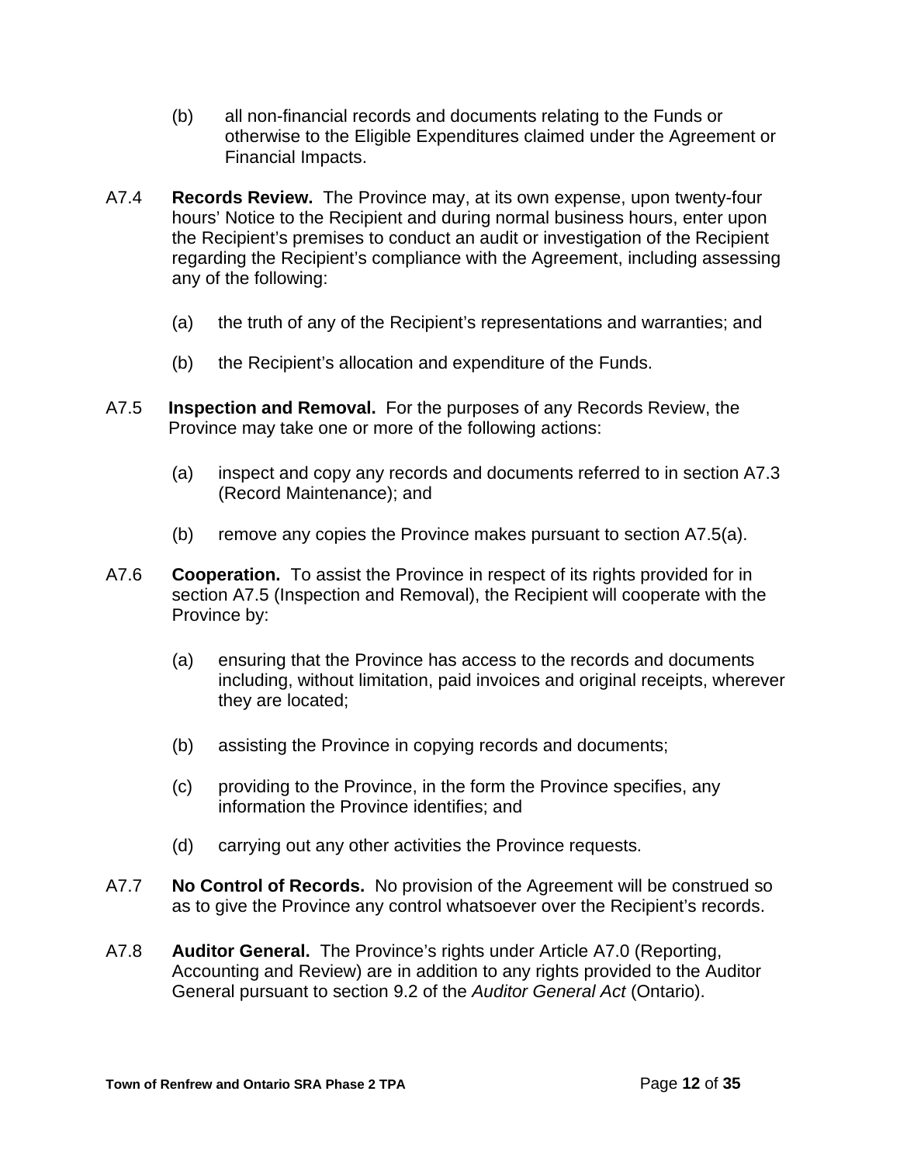- (b) all non-financial records and documents relating to the Funds or otherwise to the Eligible Expenditures claimed under the Agreement or Financial Impacts.
- A7.4 **Records Review.** The Province may, at its own expense, upon twenty-four hours' Notice to the Recipient and during normal business hours, enter upon the Recipient's premises to conduct an audit or investigation of the Recipient regarding the Recipient's compliance with the Agreement, including assessing any of the following:
	- (a) the truth of any of the Recipient's representations and warranties; and
	- (b) the Recipient's allocation and expenditure of the Funds.
- A7.5 **Inspection and Removal.** For the purposes of any Records Review, the Province may take one or more of the following actions:
	- (a) inspect and copy any records and documents referred to in section A7.3 (Record Maintenance); and
	- (b) remove any copies the Province makes pursuant to section A7.5(a).
- A7.6 **Cooperation.** To assist the Province in respect of its rights provided for in section A7.5 (Inspection and Removal), the Recipient will cooperate with the Province by:
	- (a) ensuring that the Province has access to the records and documents including, without limitation, paid invoices and original receipts, wherever they are located;
	- (b) assisting the Province in copying records and documents;
	- (c) providing to the Province, in the form the Province specifies, any information the Province identifies; and
	- (d) carrying out any other activities the Province requests.
- A7.7 **No Control of Records.** No provision of the Agreement will be construed so as to give the Province any control whatsoever over the Recipient's records.
- A7.8 **Auditor General.** The Province's rights under Article A7.0 (Reporting, Accounting and Review) are in addition to any rights provided to the Auditor General pursuant to section 9.2 of the *Auditor General Act* (Ontario).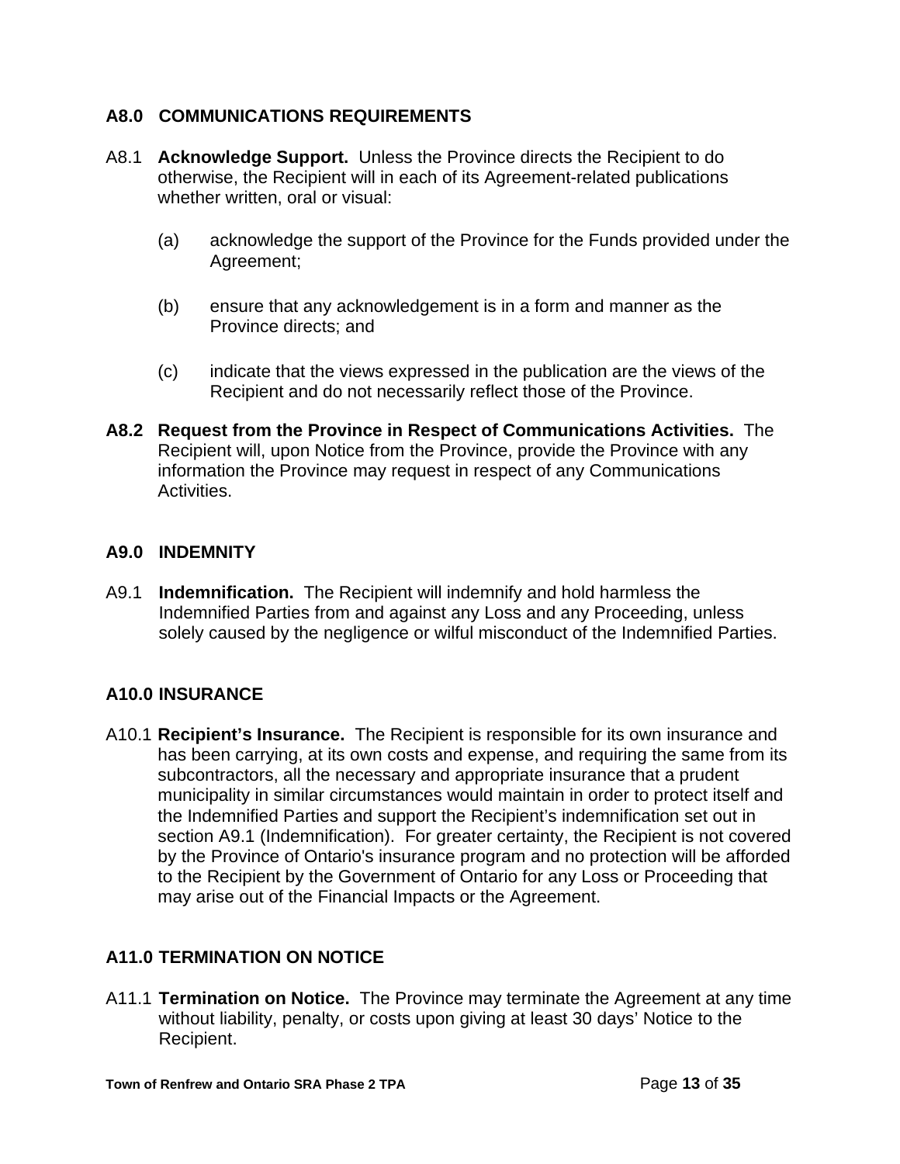## **A8.0 COMMUNICATIONS REQUIREMENTS**

- A8.1 **Acknowledge Support.** Unless the Province directs the Recipient to do otherwise, the Recipient will in each of its Agreement-related publications whether written, oral or visual:
	- (a) acknowledge the support of the Province for the Funds provided under the Agreement;
	- (b) ensure that any acknowledgement is in a form and manner as the Province directs; and
	- (c) indicate that the views expressed in the publication are the views of the Recipient and do not necessarily reflect those of the Province.
- **A8.2 Request from the Province in Respect of Communications Activities.** The Recipient will, upon Notice from the Province, provide the Province with any information the Province may request in respect of any Communications Activities.

## **A9.0 INDEMNITY**

A9.1 **Indemnification.** The Recipient will indemnify and hold harmless the Indemnified Parties from and against any Loss and any Proceeding, unless solely caused by the negligence or wilful misconduct of the Indemnified Parties.

# **A10.0 INSURANCE**

A10.1 **Recipient's Insurance.** The Recipient is responsible for its own insurance and has been carrying, at its own costs and expense, and requiring the same from its subcontractors, all the necessary and appropriate insurance that a prudent municipality in similar circumstances would maintain in order to protect itself and the Indemnified Parties and support the Recipient's indemnification set out in section A9.1 (Indemnification). For greater certainty, the Recipient is not covered by the Province of Ontario's insurance program and no protection will be afforded to the Recipient by the Government of Ontario for any Loss or Proceeding that may arise out of the Financial Impacts or the Agreement.

# **A11.0 TERMINATION ON NOTICE**

A11.1 **Termination on Notice.** The Province may terminate the Agreement at any time without liability, penalty, or costs upon giving at least 30 days' Notice to the Recipient.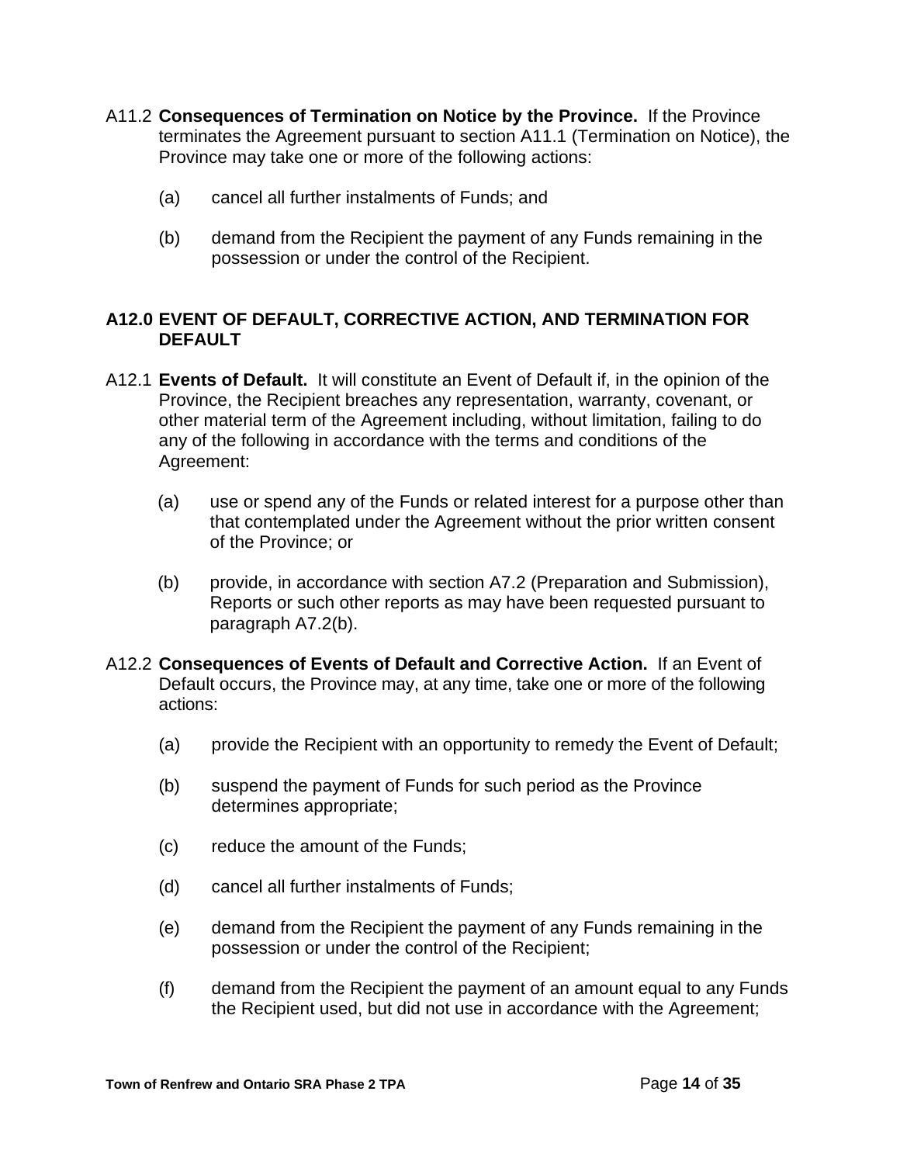- A11.2 **Consequences of Termination on Notice by the Province.** If the Province terminates the Agreement pursuant to section A11.1 (Termination on Notice), the Province may take one or more of the following actions:
	- (a) cancel all further instalments of Funds; and
	- (b) demand from the Recipient the payment of any Funds remaining in the possession or under the control of the Recipient.

### **A12.0 EVENT OF DEFAULT, CORRECTIVE ACTION, AND TERMINATION FOR DEFAULT**

- A12.1 **Events of Default.** It will constitute an Event of Default if, in the opinion of the Province, the Recipient breaches any representation, warranty, covenant, or other material term of the Agreement including, without limitation, failing to do any of the following in accordance with the terms and conditions of the Agreement:
	- (a) use or spend any of the Funds or related interest for a purpose other than that contemplated under the Agreement without the prior written consent of the Province; or
	- (b) provide, in accordance with section A7.2 (Preparation and Submission), Reports or such other reports as may have been requested pursuant to paragraph A7.2(b).
- A12.2 **Consequences of Events of Default and Corrective Action.** If an Event of Default occurs, the Province may, at any time, take one or more of the following actions:
	- (a) provide the Recipient with an opportunity to remedy the Event of Default;
	- (b) suspend the payment of Funds for such period as the Province determines appropriate;
	- (c) reduce the amount of the Funds;
	- (d) cancel all further instalments of Funds;
	- (e) demand from the Recipient the payment of any Funds remaining in the possession or under the control of the Recipient;
	- (f) demand from the Recipient the payment of an amount equal to any Funds the Recipient used, but did not use in accordance with the Agreement;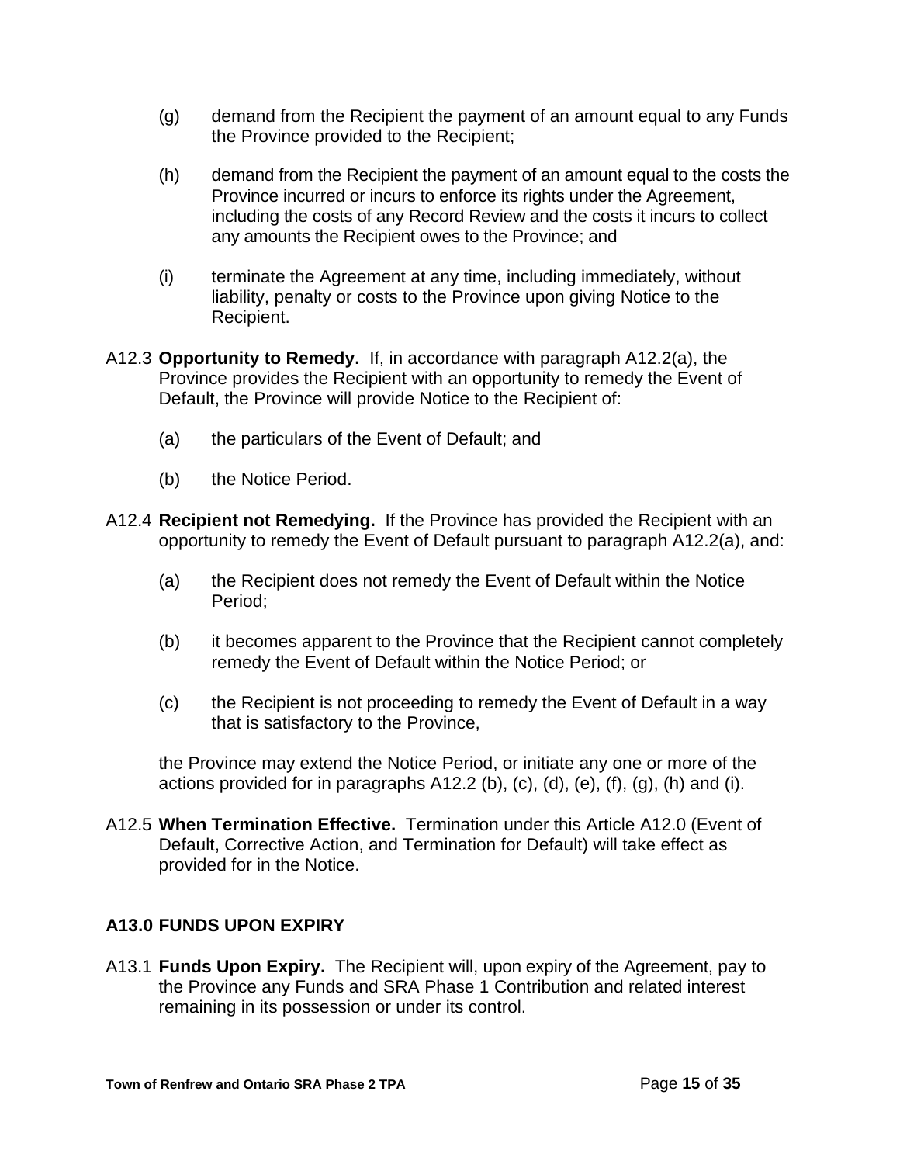- (g) demand from the Recipient the payment of an amount equal to any Funds the Province provided to the Recipient;
- (h) demand from the Recipient the payment of an amount equal to the costs the Province incurred or incurs to enforce its rights under the Agreement, including the costs of any Record Review and the costs it incurs to collect any amounts the Recipient owes to the Province; and
- (i) terminate the Agreement at any time, including immediately, without liability, penalty or costs to the Province upon giving Notice to the Recipient.
- A12.3 **Opportunity to Remedy.** If, in accordance with paragraph A12.2(a), the Province provides the Recipient with an opportunity to remedy the Event of Default, the Province will provide Notice to the Recipient of:
	- (a) the particulars of the Event of Default; and
	- (b) the Notice Period.
- A12.4 **Recipient not Remedying.** If the Province has provided the Recipient with an opportunity to remedy the Event of Default pursuant to paragraph A12.2(a), and:
	- (a) the Recipient does not remedy the Event of Default within the Notice Period;
	- (b) it becomes apparent to the Province that the Recipient cannot completely remedy the Event of Default within the Notice Period; or
	- (c) the Recipient is not proceeding to remedy the Event of Default in a way that is satisfactory to the Province,

the Province may extend the Notice Period, or initiate any one or more of the actions provided for in paragraphs  $A12.2$  (b), (c), (d), (e), (f), (g), (h) and (i).

A12.5 **When Termination Effective.** Termination under this Article A12.0 (Event of Default, Corrective Action, and Termination for Default) will take effect as provided for in the Notice.

# **A13.0 FUNDS UPON EXPIRY**

A13.1 **Funds Upon Expiry.** The Recipient will, upon expiry of the Agreement, pay to the Province any Funds and SRA Phase 1 Contribution and related interest remaining in its possession or under its control.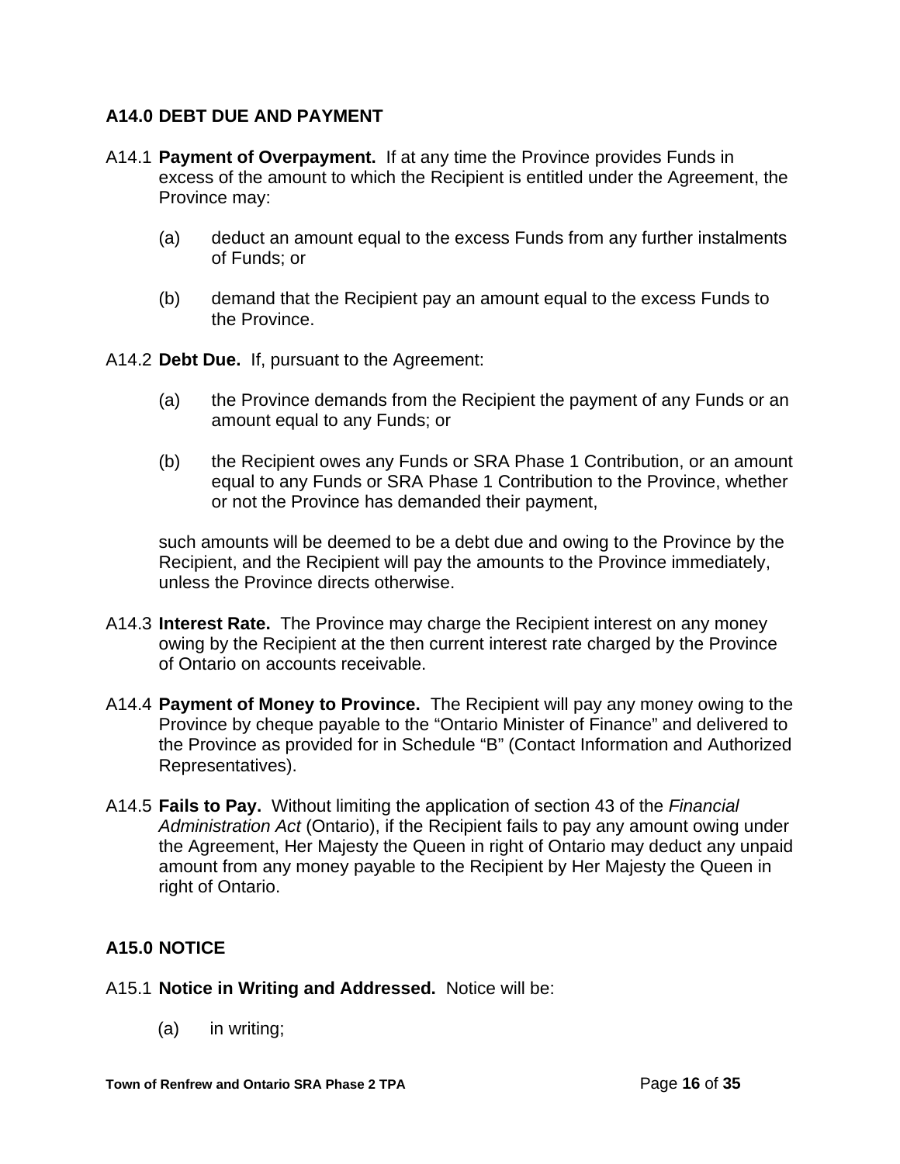# **A14.0 DEBT DUE AND PAYMENT**

- A14.1 **Payment of Overpayment.** If at any time the Province provides Funds in excess of the amount to which the Recipient is entitled under the Agreement, the Province may:
	- (a) deduct an amount equal to the excess Funds from any further instalments of Funds; or
	- (b) demand that the Recipient pay an amount equal to the excess Funds to the Province.

A14.2 **Debt Due.** If, pursuant to the Agreement:

- (a) the Province demands from the Recipient the payment of any Funds or an amount equal to any Funds; or
- (b) the Recipient owes any Funds or SRA Phase 1 Contribution, or an amount equal to any Funds or SRA Phase 1 Contribution to the Province, whether or not the Province has demanded their payment,

such amounts will be deemed to be a debt due and owing to the Province by the Recipient, and the Recipient will pay the amounts to the Province immediately, unless the Province directs otherwise.

- A14.3 **Interest Rate.** The Province may charge the Recipient interest on any money owing by the Recipient at the then current interest rate charged by the Province of Ontario on accounts receivable.
- A14.4 **Payment of Money to Province.** The Recipient will pay any money owing to the Province by cheque payable to the "Ontario Minister of Finance" and delivered to the Province as provided for in Schedule "B" (Contact Information and Authorized Representatives).
- A14.5 **Fails to Pay.** Without limiting the application of section 43 of the *Financial Administration Act* (Ontario), if the Recipient fails to pay any amount owing under the Agreement, Her Majesty the Queen in right of Ontario may deduct any unpaid amount from any money payable to the Recipient by Her Majesty the Queen in right of Ontario.

# **A15.0 NOTICE**

- A15.1 **Notice in Writing and Addressed.** Notice will be:
	- (a) in writing;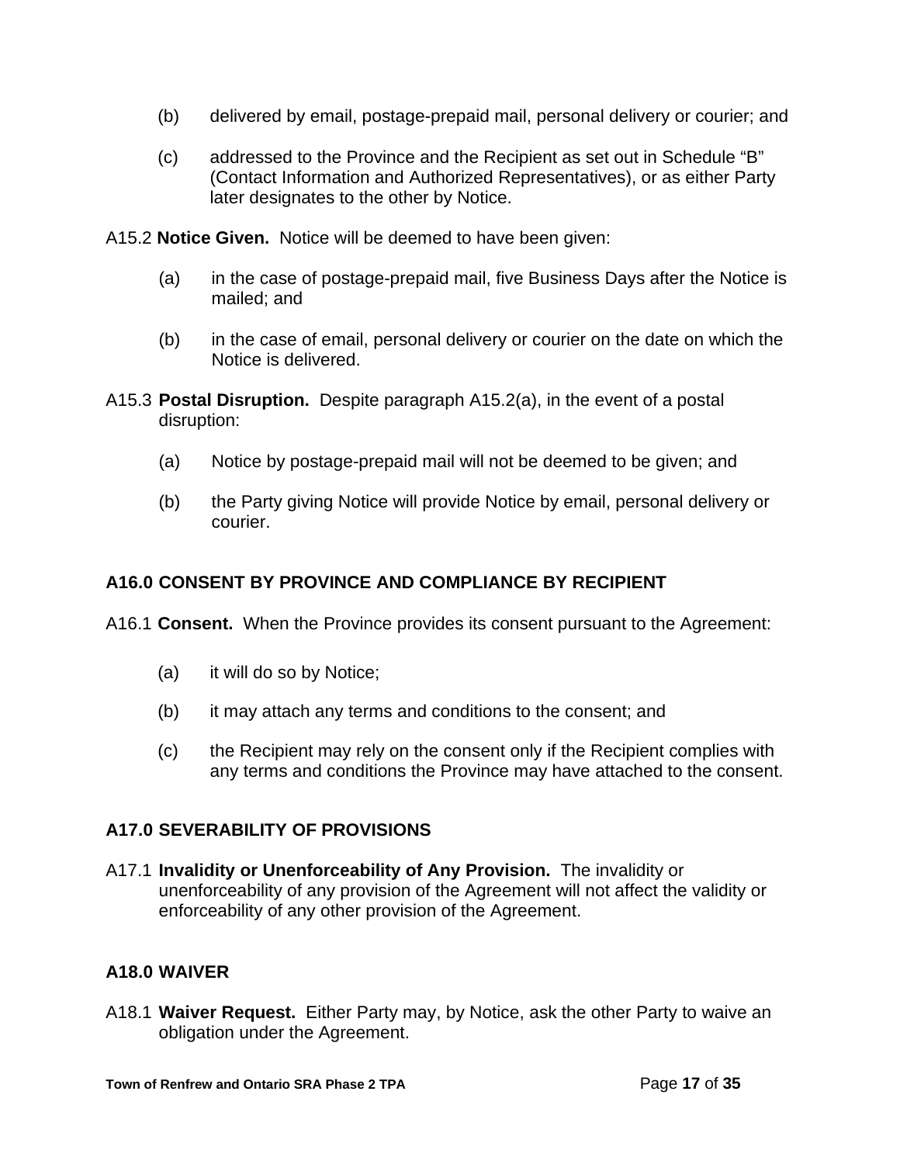- (b) delivered by email, postage-prepaid mail, personal delivery or courier; and
- (c) addressed to the Province and the Recipient as set out in Schedule "B" (Contact Information and Authorized Representatives), or as either Party later designates to the other by Notice.

A15.2 **Notice Given.** Notice will be deemed to have been given:

- (a) in the case of postage-prepaid mail, five Business Days after the Notice is mailed; and
- (b) in the case of email, personal delivery or courier on the date on which the Notice is delivered.
- A15.3 **Postal Disruption.** Despite paragraph A15.2(a), in the event of a postal disruption:
	- (a) Notice by postage-prepaid mail will not be deemed to be given; and
	- (b) the Party giving Notice will provide Notice by email, personal delivery or courier.

# **A16.0 CONSENT BY PROVINCE AND COMPLIANCE BY RECIPIENT**

A16.1 **Consent.** When the Province provides its consent pursuant to the Agreement:

- (a) it will do so by Notice;
- (b) it may attach any terms and conditions to the consent; and
- (c) the Recipient may rely on the consent only if the Recipient complies with any terms and conditions the Province may have attached to the consent.

# **A17.0 SEVERABILITY OF PROVISIONS**

A17.1 **Invalidity or Unenforceability of Any Provision.** The invalidity or unenforceability of any provision of the Agreement will not affect the validity or enforceability of any other provision of the Agreement.

# **A18.0 WAIVER**

A18.1 **Waiver Request.** Either Party may, by Notice, ask the other Party to waive an obligation under the Agreement.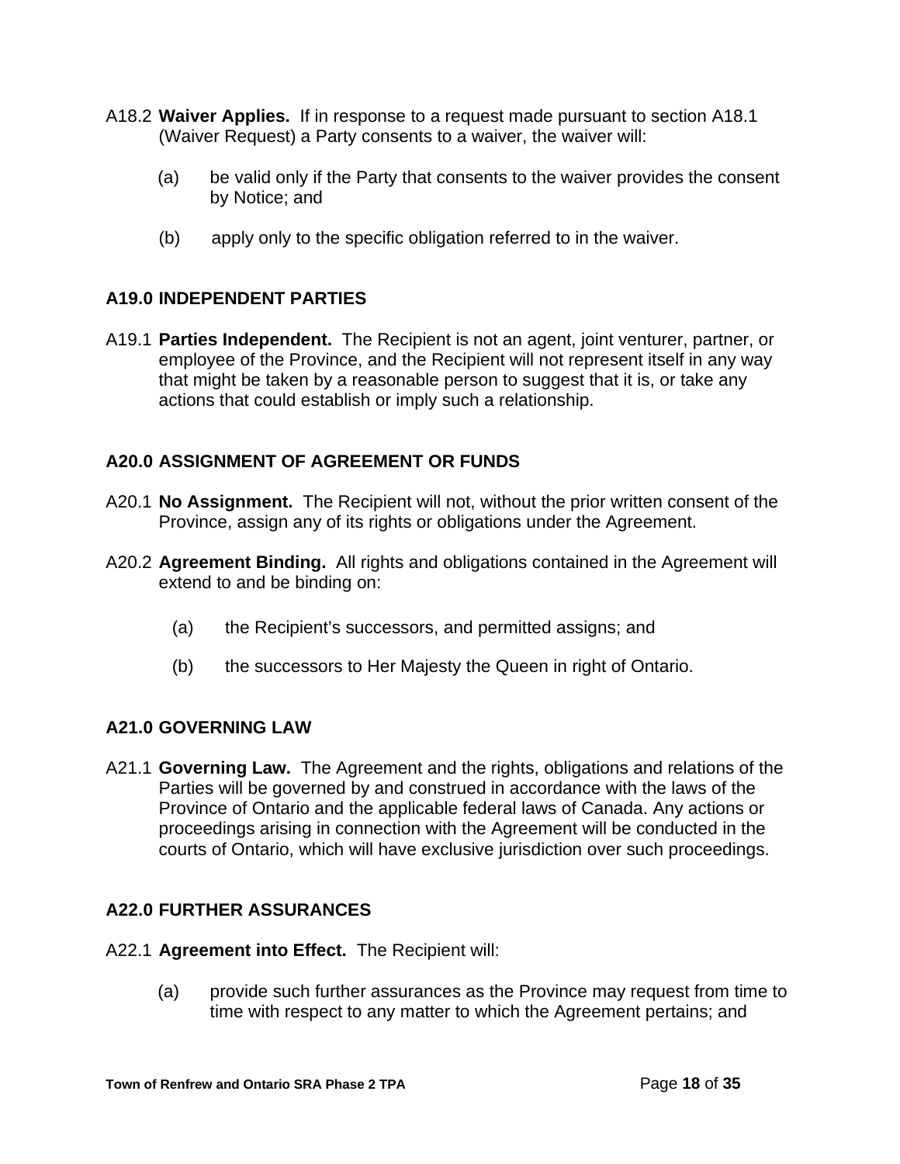- A18.2 **Waiver Applies.** If in response to a request made pursuant to section A18.1 (Waiver Request) a Party consents to a waiver, the waiver will:
	- (a) be valid only if the Party that consents to the waiver provides the consent by Notice; and
	- (b) apply only to the specific obligation referred to in the waiver.

## **A19.0 INDEPENDENT PARTIES**

A19.1 **Parties Independent.** The Recipient is not an agent, joint venturer, partner, or employee of the Province, and the Recipient will not represent itself in any way that might be taken by a reasonable person to suggest that it is, or take any actions that could establish or imply such a relationship.

## **A20.0 ASSIGNMENT OF AGREEMENT OR FUNDS**

- A20.1 **No Assignment.** The Recipient will not, without the prior written consent of the Province, assign any of its rights or obligations under the Agreement.
- A20.2 **Agreement Binding.** All rights and obligations contained in the Agreement will extend to and be binding on:
	- (a) the Recipient's successors, and permitted assigns; and
	- (b) the successors to Her Majesty the Queen in right of Ontario.

# **A21.0 GOVERNING LAW**

A21.1 **Governing Law.** The Agreement and the rights, obligations and relations of the Parties will be governed by and construed in accordance with the laws of the Province of Ontario and the applicable federal laws of Canada. Any actions or proceedings arising in connection with the Agreement will be conducted in the courts of Ontario, which will have exclusive jurisdiction over such proceedings.

# **A22.0 FURTHER ASSURANCES**

- A22.1 **Agreement into Effect.** The Recipient will:
	- (a) provide such further assurances as the Province may request from time to time with respect to any matter to which the Agreement pertains; and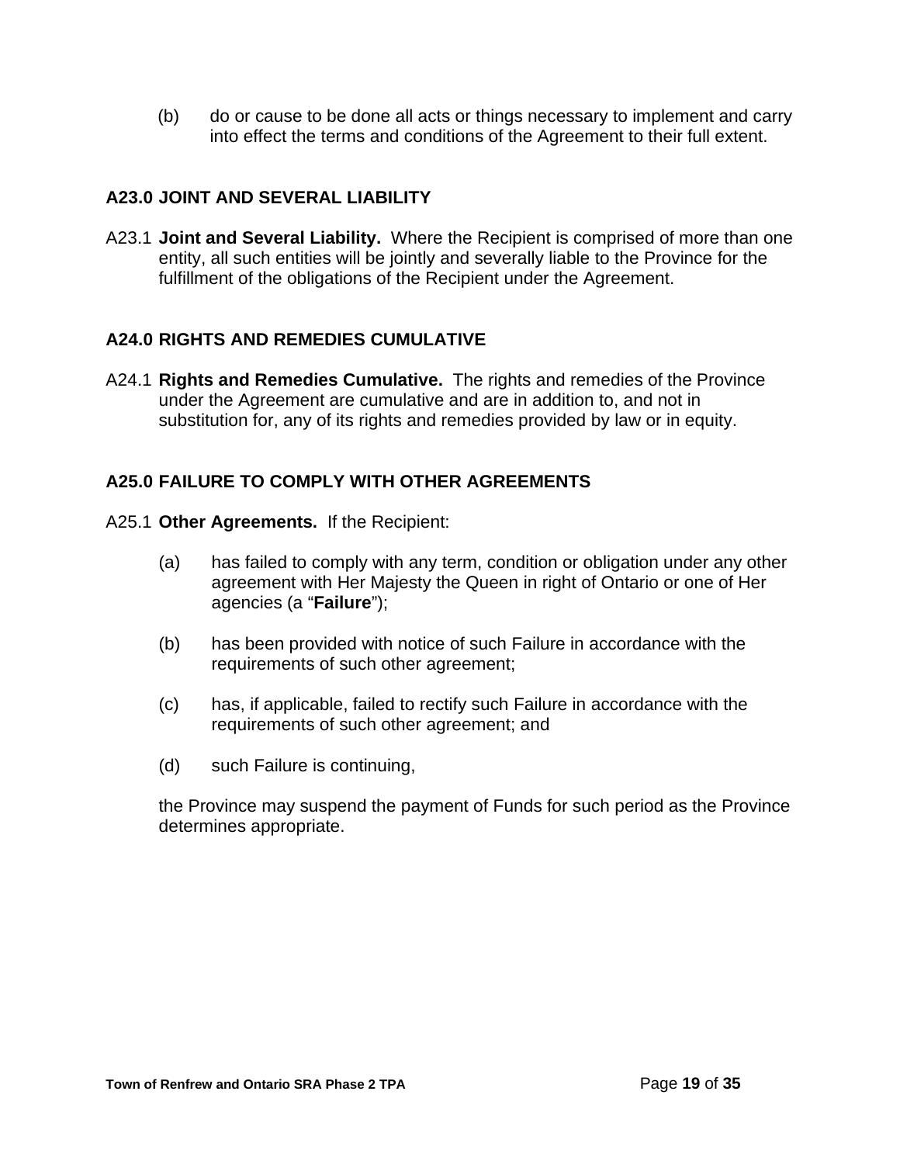(b) do or cause to be done all acts or things necessary to implement and carry into effect the terms and conditions of the Agreement to their full extent.

# **A23.0 JOINT AND SEVERAL LIABILITY**

A23.1 **Joint and Several Liability.** Where the Recipient is comprised of more than one entity, all such entities will be jointly and severally liable to the Province for the fulfillment of the obligations of the Recipient under the Agreement.

# **A24.0 RIGHTS AND REMEDIES CUMULATIVE**

A24.1 **Rights and Remedies Cumulative.** The rights and remedies of the Province under the Agreement are cumulative and are in addition to, and not in substitution for, any of its rights and remedies provided by law or in equity.

## **A25.0 FAILURE TO COMPLY WITH OTHER AGREEMENTS**

- A25.1 **Other Agreements.** If the Recipient:
	- (a) has failed to comply with any term, condition or obligation under any other agreement with Her Majesty the Queen in right of Ontario or one of Her agencies (a "**Failure**");
	- (b) has been provided with notice of such Failure in accordance with the requirements of such other agreement;
	- (c) has, if applicable, failed to rectify such Failure in accordance with the requirements of such other agreement; and
	- (d) such Failure is continuing,

the Province may suspend the payment of Funds for such period as the Province determines appropriate.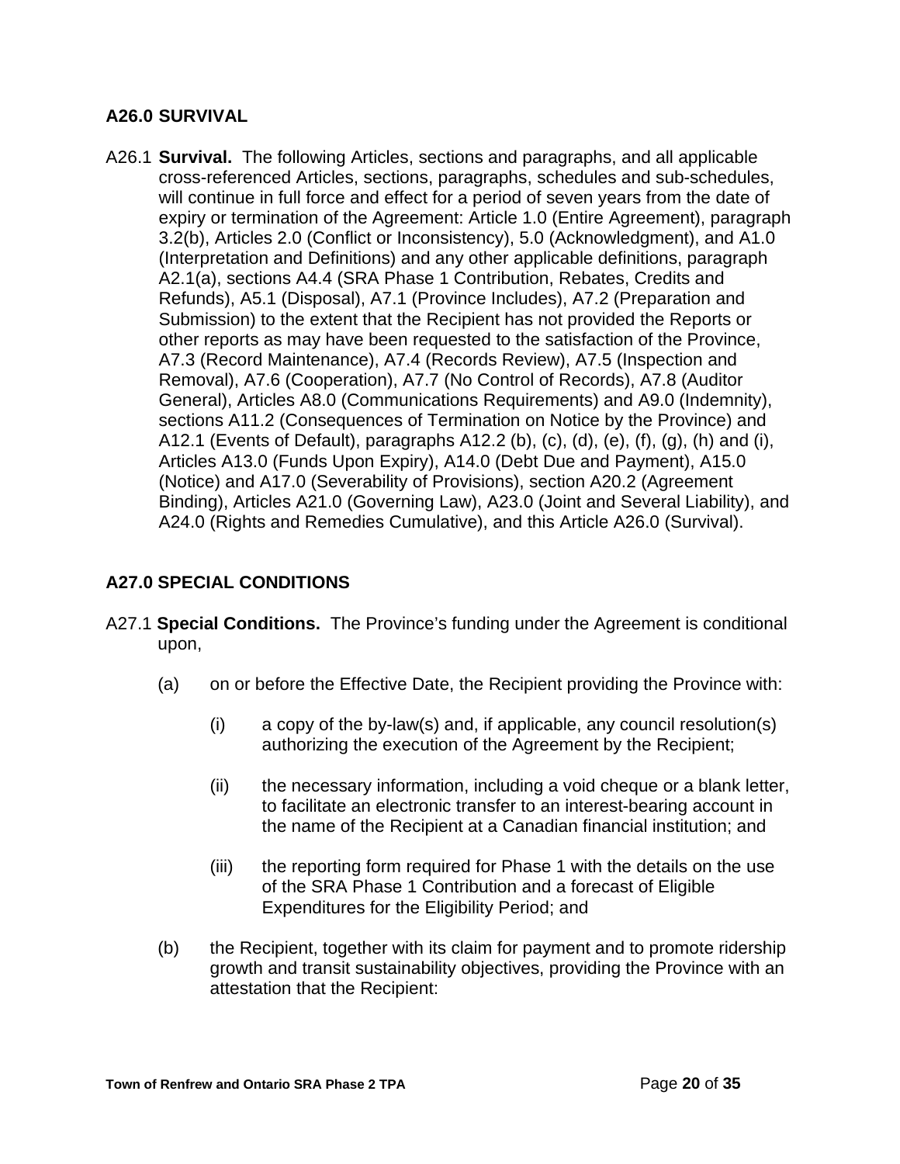## **A26.0 SURVIVAL**

A26.1 **Survival.** The following Articles, sections and paragraphs, and all applicable cross-referenced Articles, sections, paragraphs, schedules and sub-schedules, will continue in full force and effect for a period of seven years from the date of expiry or termination of the Agreement: Article 1.0 (Entire Agreement), paragraph 3.2(b), Articles 2.0 (Conflict or Inconsistency), 5.0 (Acknowledgment), and A1.0 (Interpretation and Definitions) and any other applicable definitions, paragraph A2.1(a), sections A4.4 (SRA Phase 1 Contribution, Rebates, Credits and Refunds), A5.1 (Disposal), A7.1 (Province Includes), A7.2 (Preparation and Submission) to the extent that the Recipient has not provided the Reports or other reports as may have been requested to the satisfaction of the Province, A7.3 (Record Maintenance), A7.4 (Records Review), A7.5 (Inspection and Removal), A7.6 (Cooperation), A7.7 (No Control of Records), A7.8 (Auditor General), Articles A8.0 (Communications Requirements) and A9.0 (Indemnity), sections A11.2 (Consequences of Termination on Notice by the Province) and A12.1 (Events of Default), paragraphs A12.2 (b), (c), (d), (e), (f), (g), (h) and (i), Articles A13.0 (Funds Upon Expiry), A14.0 (Debt Due and Payment), A15.0 (Notice) and A17.0 (Severability of Provisions), section A20.2 (Agreement Binding), Articles A21.0 (Governing Law), A23.0 (Joint and Several Liability), and A24.0 (Rights and Remedies Cumulative), and this Article A26.0 (Survival).

# **A27.0 SPECIAL CONDITIONS**

- A27.1 **Special Conditions.** The Province's funding under the Agreement is conditional upon,
	- (a) on or before the Effective Date, the Recipient providing the Province with:
		- (i) a copy of the by-law(s) and, if applicable, any council resolution(s) authorizing the execution of the Agreement by the Recipient;
		- (ii) the necessary information, including a void cheque or a blank letter, to facilitate an electronic transfer to an interest-bearing account in the name of the Recipient at a Canadian financial institution; and
		- (iii) the reporting form required for Phase 1 with the details on the use of the SRA Phase 1 Contribution and a forecast of Eligible Expenditures for the Eligibility Period; and
	- (b) the Recipient, together with its claim for payment and to promote ridership growth and transit sustainability objectives, providing the Province with an attestation that the Recipient: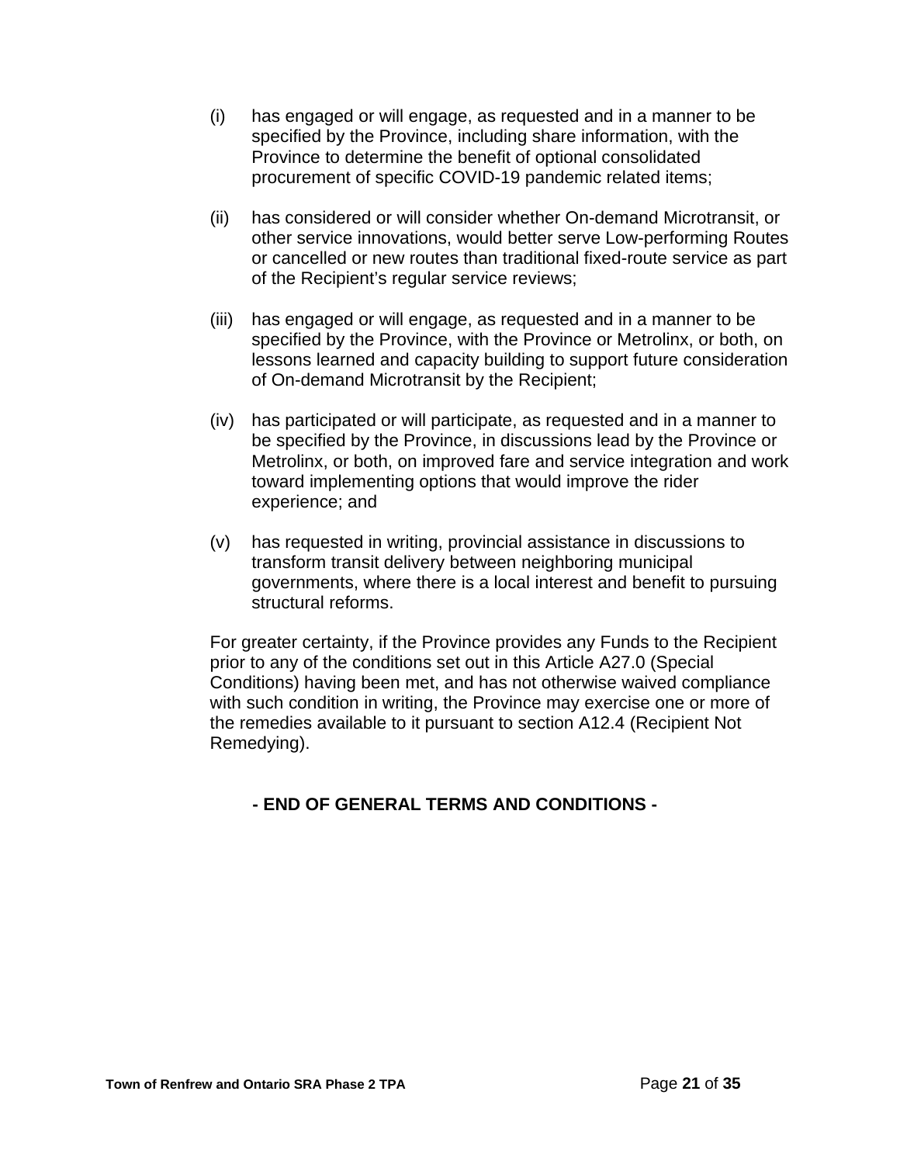- (i) has engaged or will engage, as requested and in a manner to be specified by the Province, including share information, with the Province to determine the benefit of optional consolidated procurement of specific COVID-19 pandemic related items;
- (ii) has considered or will consider whether On-demand Microtransit, or other service innovations, would better serve Low-performing Routes or cancelled or new routes than traditional fixed-route service as part of the Recipient's regular service reviews;
- (iii) has engaged or will engage, as requested and in a manner to be specified by the Province, with the Province or Metrolinx, or both, on lessons learned and capacity building to support future consideration of On-demand Microtransit by the Recipient;
- (iv) has participated or will participate, as requested and in a manner to be specified by the Province, in discussions lead by the Province or Metrolinx, or both, on improved fare and service integration and work toward implementing options that would improve the rider experience; and
- (v) has requested in writing, provincial assistance in discussions to transform transit delivery between neighboring municipal governments, where there is a local interest and benefit to pursuing structural reforms.

For greater certainty, if the Province provides any Funds to the Recipient prior to any of the conditions set out in this Article A27.0 (Special Conditions) having been met, and has not otherwise waived compliance with such condition in writing, the Province may exercise one or more of the remedies available to it pursuant to section A12.4 (Recipient Not Remedying).

# **- END OF GENERAL TERMS AND CONDITIONS -**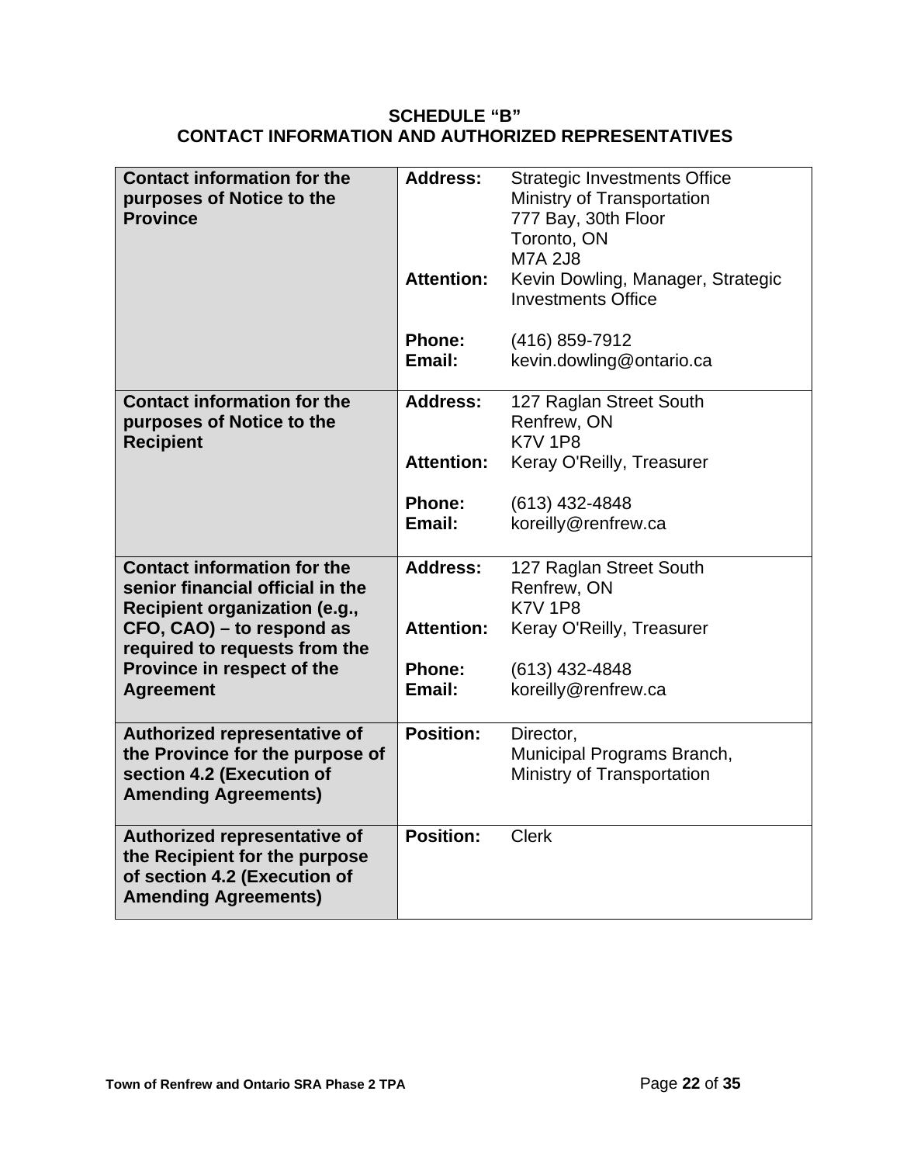## **SCHEDULE "B" CONTACT INFORMATION AND AUTHORIZED REPRESENTATIVES**

| <b>Contact information for the</b><br>purposes of Notice to the<br><b>Province</b>                                           | <b>Address:</b><br><b>Attention:</b> | <b>Strategic Investments Office</b><br>Ministry of Transportation<br>777 Bay, 30th Floor<br>Toronto, ON<br><b>M7A 2J8</b><br>Kevin Dowling, Manager, Strategic<br><b>Investments Office</b> |
|------------------------------------------------------------------------------------------------------------------------------|--------------------------------------|---------------------------------------------------------------------------------------------------------------------------------------------------------------------------------------------|
|                                                                                                                              | Phone:<br>Email:                     | (416) 859-7912<br>kevin.dowling@ontario.ca                                                                                                                                                  |
| <b>Contact information for the</b><br>purposes of Notice to the<br><b>Recipient</b>                                          | <b>Address:</b>                      | 127 Raglan Street South<br>Renfrew, ON<br><b>K7V 1P8</b>                                                                                                                                    |
|                                                                                                                              | <b>Attention:</b>                    | Keray O'Reilly, Treasurer                                                                                                                                                                   |
|                                                                                                                              | <b>Phone:</b>                        | (613) 432-4848                                                                                                                                                                              |
|                                                                                                                              | Email:                               | koreilly@renfrew.ca                                                                                                                                                                         |
| <b>Contact information for the</b>                                                                                           | <b>Address:</b>                      | 127 Raglan Street South                                                                                                                                                                     |
| senior financial official in the<br>Recipient organization (e.g.,                                                            |                                      | Renfrew, ON<br><b>K7V 1P8</b>                                                                                                                                                               |
| CFO, CAO) – to respond as<br>required to requests from the                                                                   | <b>Attention:</b>                    | Keray O'Reilly, Treasurer                                                                                                                                                                   |
| Province in respect of the                                                                                                   | <b>Phone:</b>                        | $(613)$ 432-4848                                                                                                                                                                            |
| <b>Agreement</b>                                                                                                             | Email:                               | koreilly@renfrew.ca                                                                                                                                                                         |
| Authorized representative of                                                                                                 | <b>Position:</b>                     | Director,                                                                                                                                                                                   |
| the Province for the purpose of<br>section 4.2 (Execution of<br><b>Amending Agreements)</b>                                  |                                      | Municipal Programs Branch,<br>Ministry of Transportation                                                                                                                                    |
| Authorized representative of<br>the Recipient for the purpose<br>of section 4.2 (Execution of<br><b>Amending Agreements)</b> | <b>Position:</b>                     | <b>Clerk</b>                                                                                                                                                                                |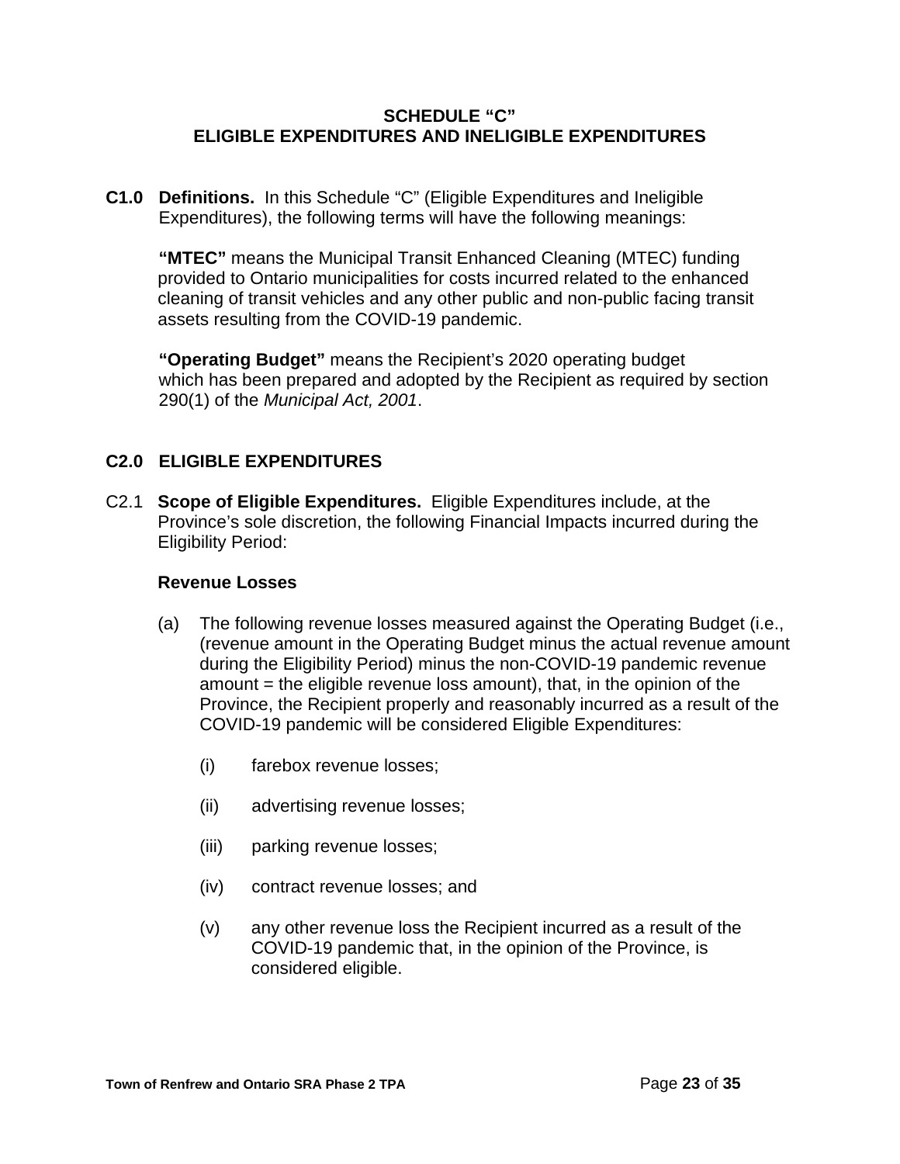### **SCHEDULE "C" ELIGIBLE EXPENDITURES AND INELIGIBLE EXPENDITURES**

**C1.0 Definitions.** In this Schedule "C" (Eligible Expenditures and Ineligible Expenditures), the following terms will have the following meanings:

**"MTEC"** means the Municipal Transit Enhanced Cleaning (MTEC) funding provided to Ontario municipalities for costs incurred related to the enhanced cleaning of transit vehicles and any other public and non-public facing transit assets resulting from the COVID-19 pandemic.

**"Operating Budget"** means the Recipient's 2020 operating budget which has been prepared and adopted by the Recipient as required by section 290(1) of the *Municipal Act, 2001*.

### **C2.0 ELIGIBLE EXPENDITURES**

C2.1 **Scope of Eligible Expenditures.** Eligible Expenditures include, at the Province's sole discretion, the following Financial Impacts incurred during the Eligibility Period:

### **Revenue Losses**

- (a) The following revenue losses measured against the Operating Budget (i.e., (revenue amount in the Operating Budget minus the actual revenue amount during the Eligibility Period) minus the non-COVID-19 pandemic revenue amount = the eligible revenue loss amount), that, in the opinion of the Province, the Recipient properly and reasonably incurred as a result of the COVID-19 pandemic will be considered Eligible Expenditures:
	- (i) farebox revenue losses;
	- (ii) advertising revenue losses;
	- (iii) parking revenue losses;
	- (iv) contract revenue losses; and
	- (v) any other revenue loss the Recipient incurred as a result of the COVID-19 pandemic that, in the opinion of the Province, is considered eligible.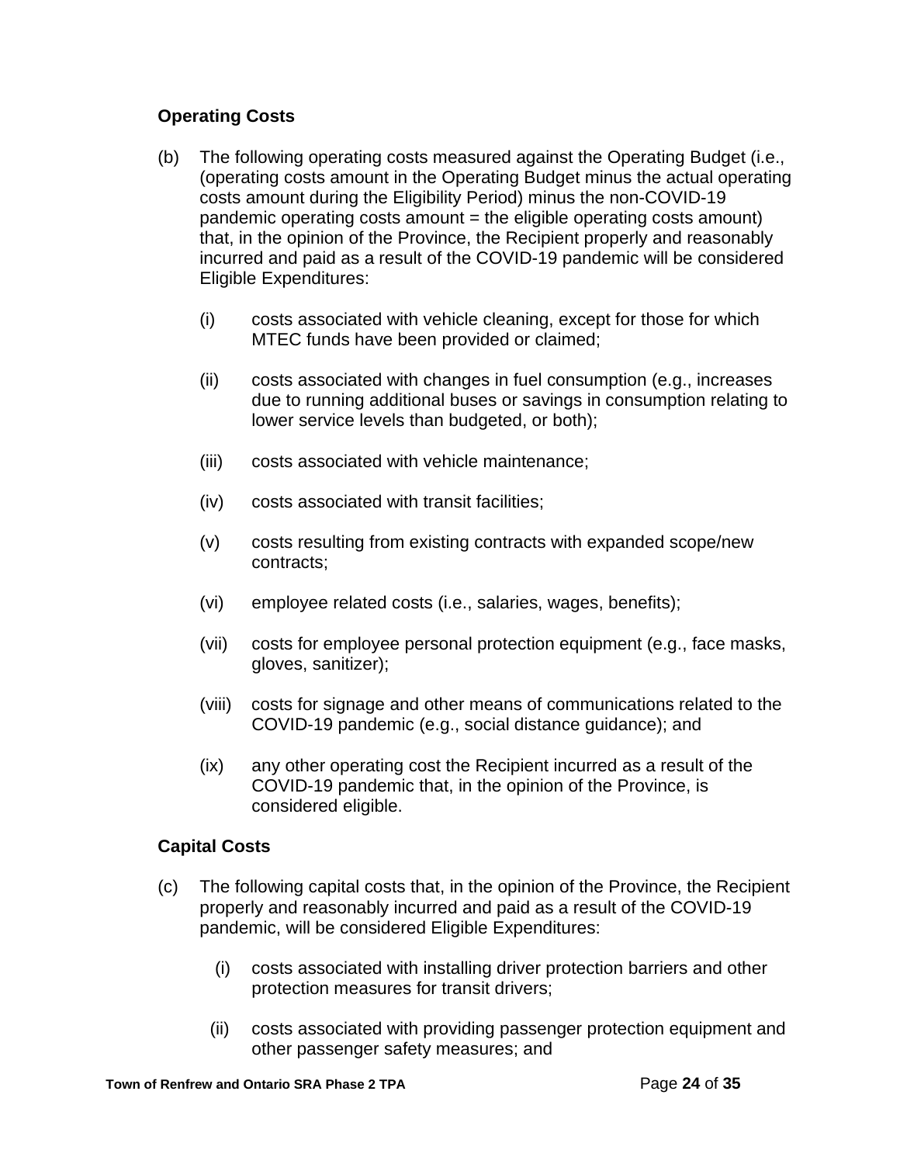## **Operating Costs**

- (b) The following operating costs measured against the Operating Budget (i.e., (operating costs amount in the Operating Budget minus the actual operating costs amount during the Eligibility Period) minus the non-COVID-19 pandemic operating costs amount = the eligible operating costs amount) that, in the opinion of the Province, the Recipient properly and reasonably incurred and paid as a result of the COVID-19 pandemic will be considered Eligible Expenditures:
	- (i) costs associated with vehicle cleaning, except for those for which MTEC funds have been provided or claimed;
	- (ii) costs associated with changes in fuel consumption (e.g., increases due to running additional buses or savings in consumption relating to lower service levels than budgeted, or both);
	- (iii) costs associated with vehicle maintenance;
	- (iv) costs associated with transit facilities;
	- (v) costs resulting from existing contracts with expanded scope/new contracts;
	- (vi) employee related costs (i.e., salaries, wages, benefits);
	- (vii) costs for employee personal protection equipment (e.g., face masks, gloves, sanitizer);
	- (viii) costs for signage and other means of communications related to the COVID-19 pandemic (e.g., social distance guidance); and
	- (ix) any other operating cost the Recipient incurred as a result of the COVID-19 pandemic that, in the opinion of the Province, is considered eligible.

### **Capital Costs**

- (c) The following capital costs that, in the opinion of the Province, the Recipient properly and reasonably incurred and paid as a result of the COVID-19 pandemic, will be considered Eligible Expenditures:
	- (i) costs associated with installing driver protection barriers and other protection measures for transit drivers;
	- (ii) costs associated with providing passenger protection equipment and other passenger safety measures; and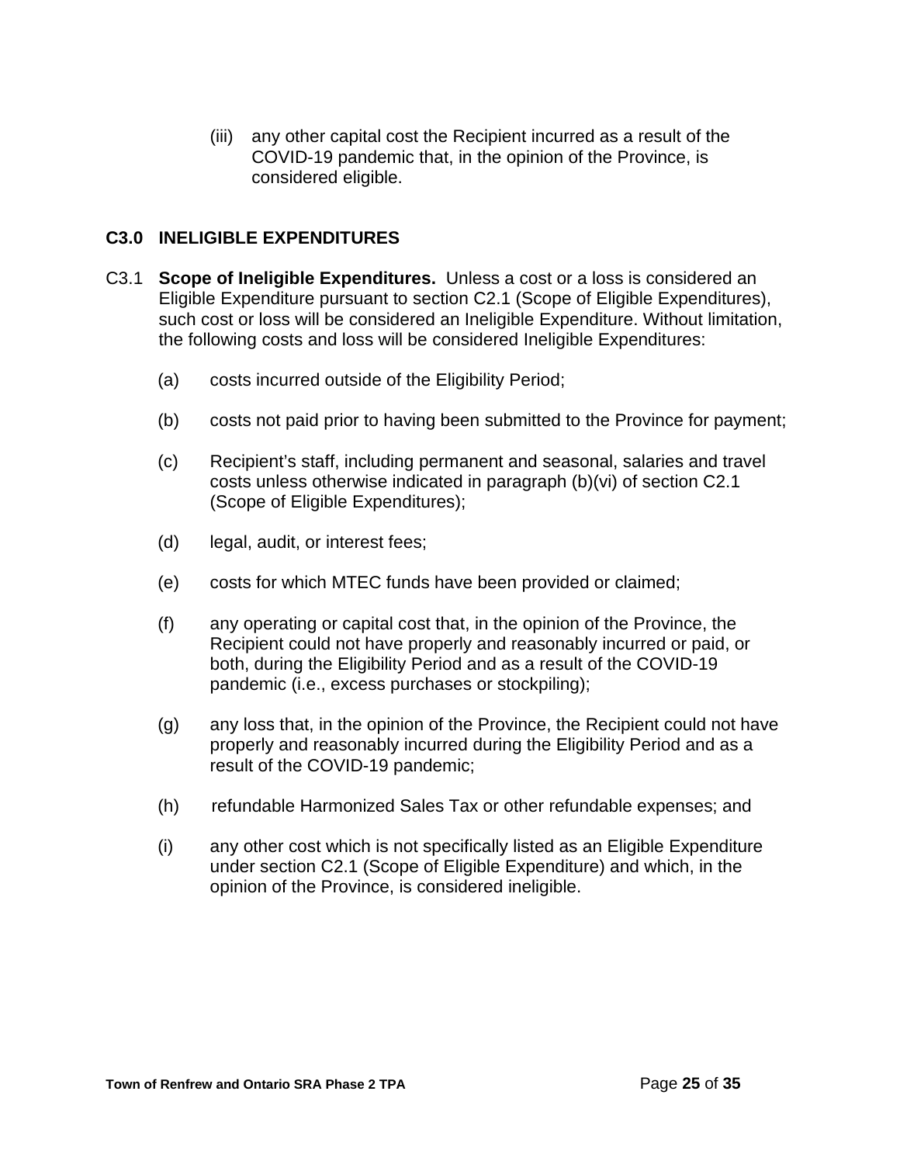(iii) any other capital cost the Recipient incurred as a result of the COVID-19 pandemic that, in the opinion of the Province, is considered eligible.

## **C3.0 INELIGIBLE EXPENDITURES**

- C3.1 **Scope of Ineligible Expenditures.** Unless a cost or a loss is considered an Eligible Expenditure pursuant to section C2.1 (Scope of Eligible Expenditures), such cost or loss will be considered an Ineligible Expenditure. Without limitation, the following costs and loss will be considered Ineligible Expenditures:
	- (a) costs incurred outside of the Eligibility Period;
	- (b) costs not paid prior to having been submitted to the Province for payment;
	- (c) Recipient's staff, including permanent and seasonal, salaries and travel costs unless otherwise indicated in paragraph (b)(vi) of section C2.1 (Scope of Eligible Expenditures);
	- (d) legal, audit, or interest fees;
	- (e) costs for which MTEC funds have been provided or claimed;
	- (f) any operating or capital cost that, in the opinion of the Province, the Recipient could not have properly and reasonably incurred or paid, or both, during the Eligibility Period and as a result of the COVID-19 pandemic (i.e., excess purchases or stockpiling);
	- (g) any loss that, in the opinion of the Province, the Recipient could not have properly and reasonably incurred during the Eligibility Period and as a result of the COVID-19 pandemic;
	- (h) refundable Harmonized Sales Tax or other refundable expenses; and
	- (i) any other cost which is not specifically listed as an Eligible Expenditure under section C2.1 (Scope of Eligible Expenditure) and which, in the opinion of the Province, is considered ineligible.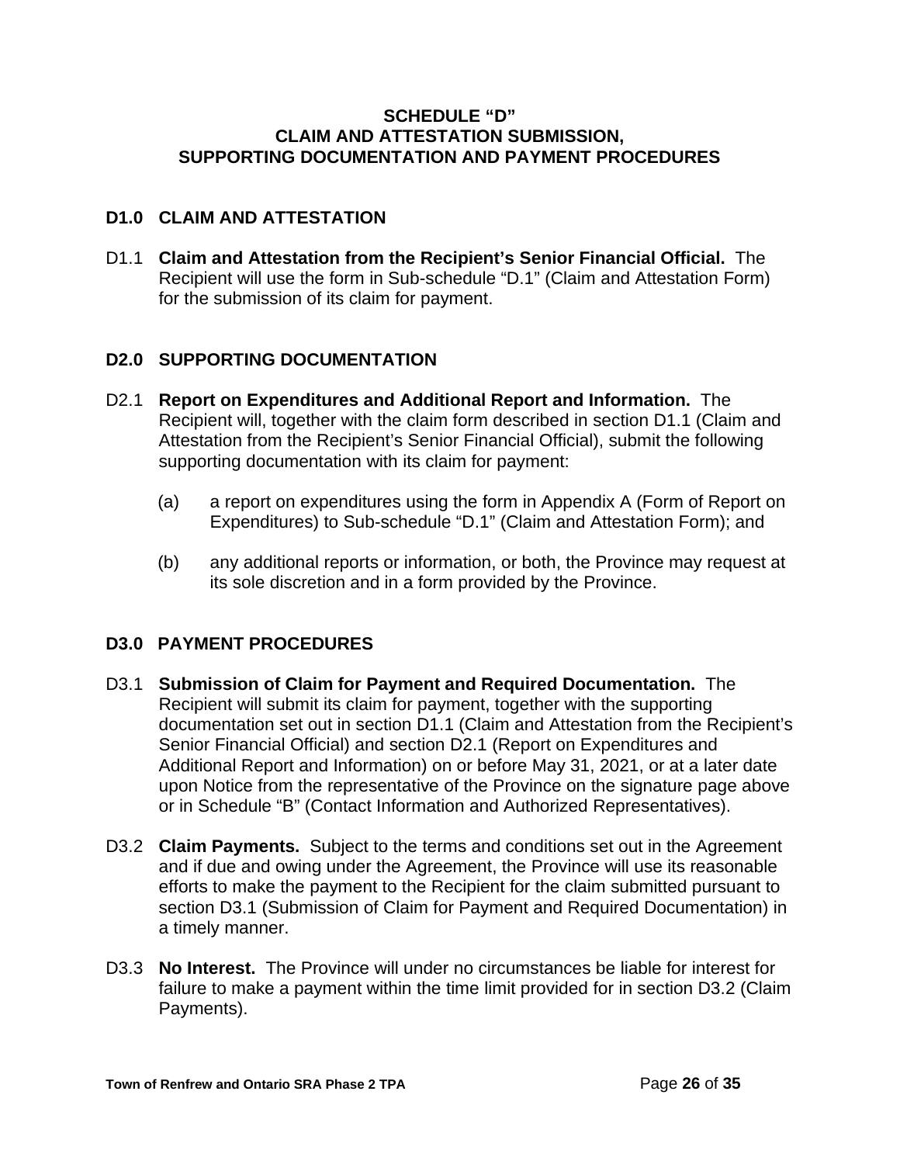### **SCHEDULE "D" CLAIM AND ATTESTATION SUBMISSION, SUPPORTING DOCUMENTATION AND PAYMENT PROCEDURES**

## **D1.0 CLAIM AND ATTESTATION**

D1.1 **Claim and Attestation from the Recipient's Senior Financial Official.** The Recipient will use the form in Sub-schedule "D.1" (Claim and Attestation Form) for the submission of its claim for payment.

## **D2.0 SUPPORTING DOCUMENTATION**

- D2.1 **Report on Expenditures and Additional Report and Information.** The Recipient will, together with the claim form described in section D1.1 (Claim and Attestation from the Recipient's Senior Financial Official), submit the following supporting documentation with its claim for payment:
	- (a) a report on expenditures using the form in Appendix A (Form of Report on Expenditures) to Sub-schedule "D.1" (Claim and Attestation Form); and
	- (b) any additional reports or information, or both, the Province may request at its sole discretion and in a form provided by the Province.

### **D3.0 PAYMENT PROCEDURES**

- D3.1 **Submission of Claim for Payment and Required Documentation.** The Recipient will submit its claim for payment, together with the supporting documentation set out in section D1.1 (Claim and Attestation from the Recipient's Senior Financial Official) and section D2.1 (Report on Expenditures and Additional Report and Information) on or before May 31, 2021, or at a later date upon Notice from the representative of the Province on the signature page above or in Schedule "B" (Contact Information and Authorized Representatives).
- D3.2 **Claim Payments.** Subject to the terms and conditions set out in the Agreement and if due and owing under the Agreement, the Province will use its reasonable efforts to make the payment to the Recipient for the claim submitted pursuant to section D3.1 (Submission of Claim for Payment and Required Documentation) in a timely manner.
- D3.3 **No Interest.** The Province will under no circumstances be liable for interest for failure to make a payment within the time limit provided for in section D3.2 (Claim Payments).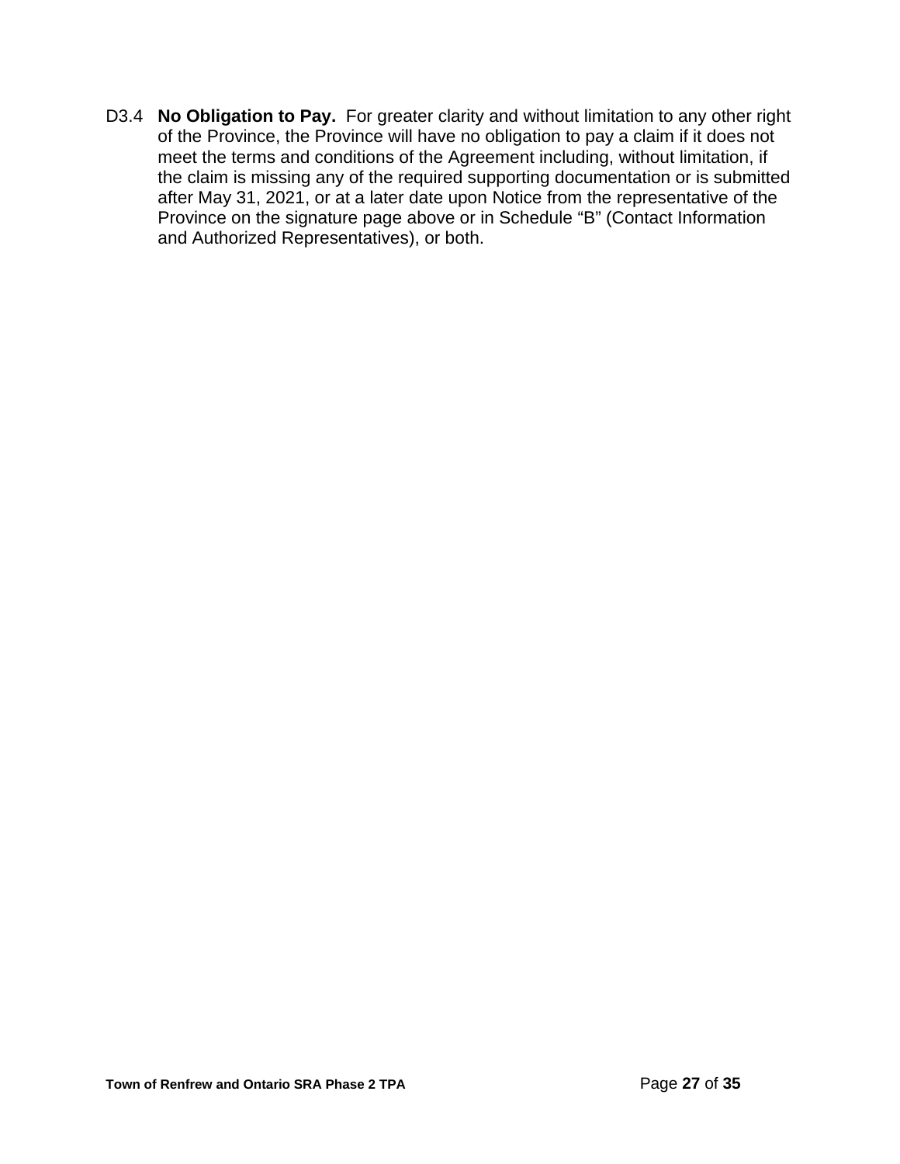D3.4 **No Obligation to Pay.** For greater clarity and without limitation to any other right of the Province, the Province will have no obligation to pay a claim if it does not meet the terms and conditions of the Agreement including, without limitation, if the claim is missing any of the required supporting documentation or is submitted after May 31, 2021, or at a later date upon Notice from the representative of the Province on the signature page above or in Schedule "B" (Contact Information and Authorized Representatives), or both.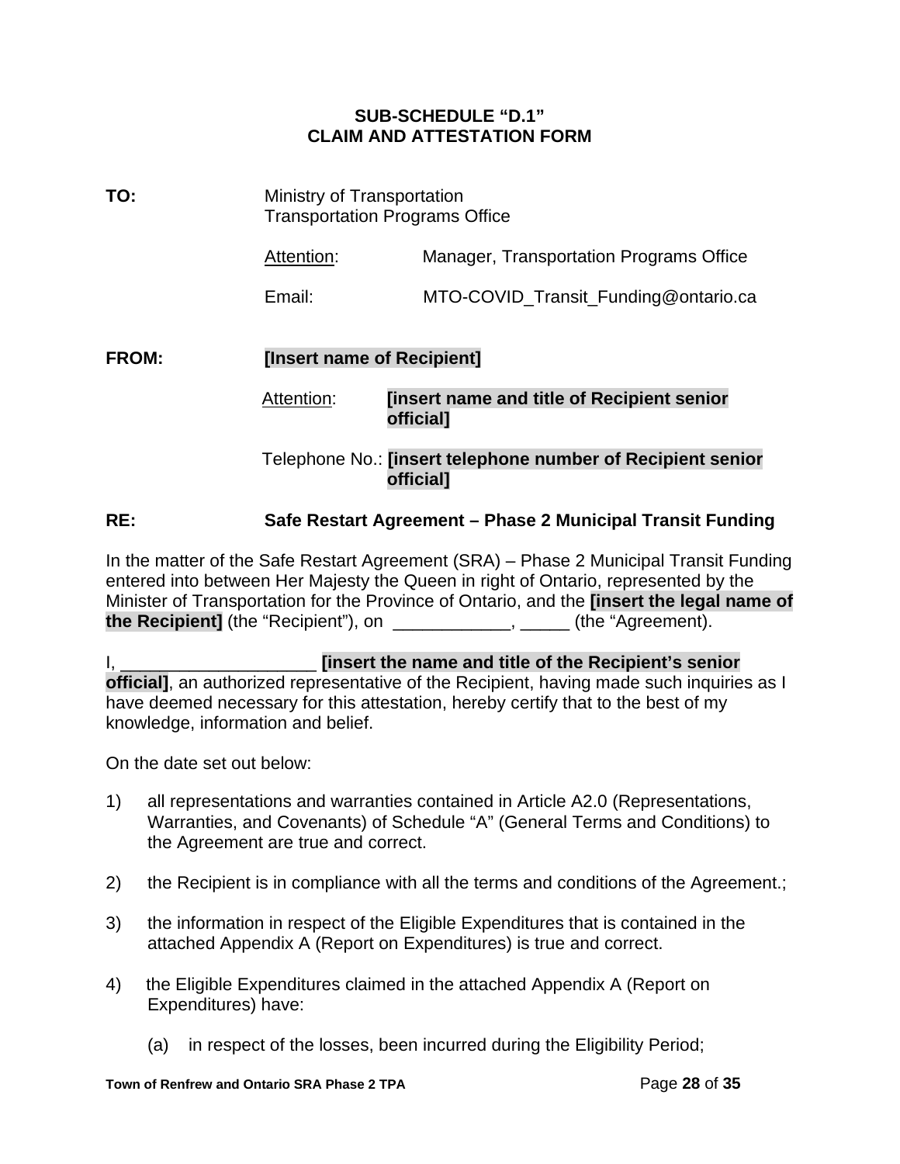## **SUB-SCHEDULE "D.1" CLAIM AND ATTESTATION FORM**

| TO:          | Ministry of Transportation<br><b>Transportation Programs Office</b> |                                                                                 |  |  |  |  |
|--------------|---------------------------------------------------------------------|---------------------------------------------------------------------------------|--|--|--|--|
|              | Attention:                                                          | Manager, Transportation Programs Office                                         |  |  |  |  |
|              | Email:                                                              | MTO-COVID_Transit_Funding@ontario.ca                                            |  |  |  |  |
| <b>FROM:</b> | [Insert name of Recipient]                                          |                                                                                 |  |  |  |  |
|              | Attention:                                                          | <b>Tinsert name and title of Recipient senior</b><br><b>official</b>            |  |  |  |  |
|              |                                                                     | Telephone No.: [insert telephone number of Recipient senior<br><b>officiall</b> |  |  |  |  |

## **RE: Safe Restart Agreement – Phase 2 Municipal Transit Funding**

In the matter of the Safe Restart Agreement (SRA) – Phase 2 Municipal Transit Funding entered into between Her Majesty the Queen in right of Ontario, represented by the Minister of Transportation for the Province of Ontario, and the **[insert the legal name of the Recipient]** (the "Recipient"), on \_\_\_\_\_\_\_\_\_\_\_\_\_\_, \_\_\_\_\_\_ (the "Agreement).

I, \_\_\_\_\_\_\_\_\_\_\_\_\_\_\_\_\_\_\_\_ **[insert the name and title of the Recipient's senior official]**, an authorized representative of the Recipient, having made such inquiries as I have deemed necessary for this attestation, hereby certify that to the best of my knowledge, information and belief.

On the date set out below:

- 1) all representations and warranties contained in Article A2.0 (Representations, Warranties, and Covenants) of Schedule "A" (General Terms and Conditions) to the Agreement are true and correct.
- 2) the Recipient is in compliance with all the terms and conditions of the Agreement.;
- 3) the information in respect of the Eligible Expenditures that is contained in the attached Appendix A (Report on Expenditures) is true and correct.
- 4) the Eligible Expenditures claimed in the attached Appendix A (Report on Expenditures) have:
	- (a) in respect of the losses, been incurred during the Eligibility Period;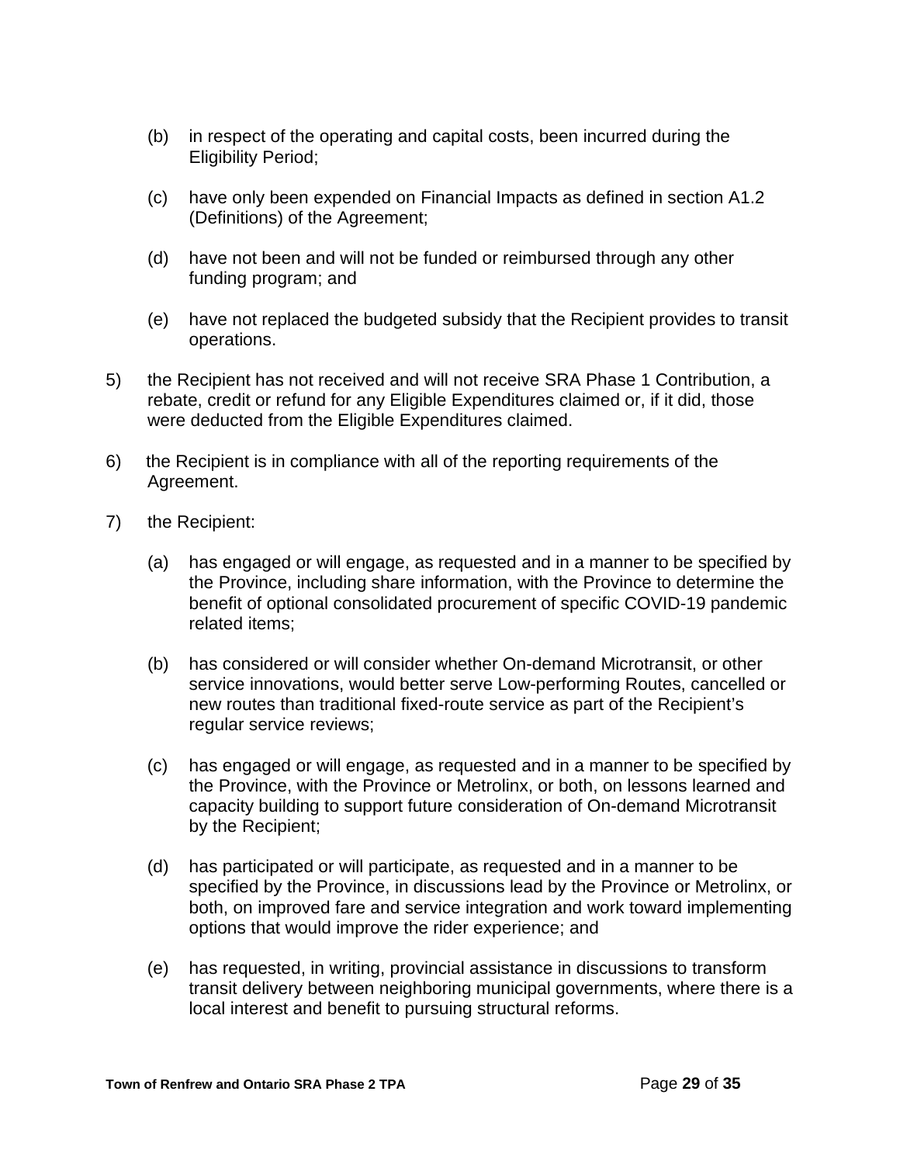- (b) in respect of the operating and capital costs, been incurred during the Eligibility Period;
- (c) have only been expended on Financial Impacts as defined in section A1.2 (Definitions) of the Agreement;
- (d) have not been and will not be funded or reimbursed through any other funding program; and
- (e) have not replaced the budgeted subsidy that the Recipient provides to transit operations.
- 5) the Recipient has not received and will not receive SRA Phase 1 Contribution, a rebate, credit or refund for any Eligible Expenditures claimed or, if it did, those were deducted from the Eligible Expenditures claimed.
- 6) the Recipient is in compliance with all of the reporting requirements of the Agreement.
- 7) the Recipient:
	- (a) has engaged or will engage, as requested and in a manner to be specified by the Province, including share information, with the Province to determine the benefit of optional consolidated procurement of specific COVID-19 pandemic related items;
	- (b) has considered or will consider whether On-demand Microtransit, or other service innovations, would better serve Low-performing Routes, cancelled or new routes than traditional fixed-route service as part of the Recipient's regular service reviews;
	- (c) has engaged or will engage, as requested and in a manner to be specified by the Province, with the Province or Metrolinx, or both, on lessons learned and capacity building to support future consideration of On-demand Microtransit by the Recipient;
	- (d) has participated or will participate, as requested and in a manner to be specified by the Province, in discussions lead by the Province or Metrolinx, or both, on improved fare and service integration and work toward implementing options that would improve the rider experience; and
	- (e) has requested, in writing, provincial assistance in discussions to transform transit delivery between neighboring municipal governments, where there is a local interest and benefit to pursuing structural reforms.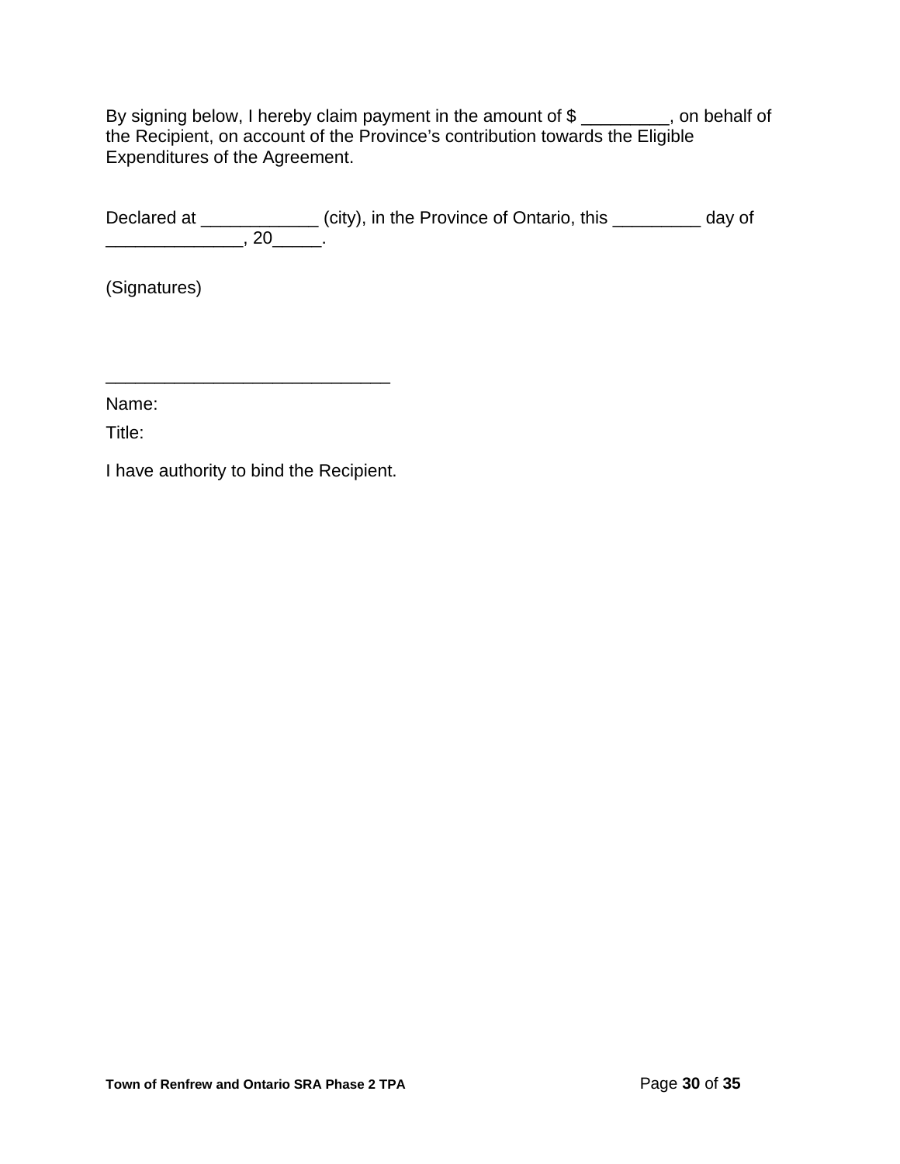By signing below, I hereby claim payment in the amount of \$ \_\_\_\_\_\_\_\_\_, on behalf of the Recipient, on account of the Province's contribution towards the Eligible Expenditures of the Agreement.

Declared at \_\_\_\_\_\_\_\_\_\_\_\_\_\_ (city), in the Province of Ontario, this \_\_\_\_\_\_\_\_\_\_ day of \_\_\_\_\_\_\_\_\_\_\_\_\_\_, 20\_\_\_\_\_.

(Signatures)

Name:

Title:

I have authority to bind the Recipient.

\_\_\_\_\_\_\_\_\_\_\_\_\_\_\_\_\_\_\_\_\_\_\_\_\_\_\_\_\_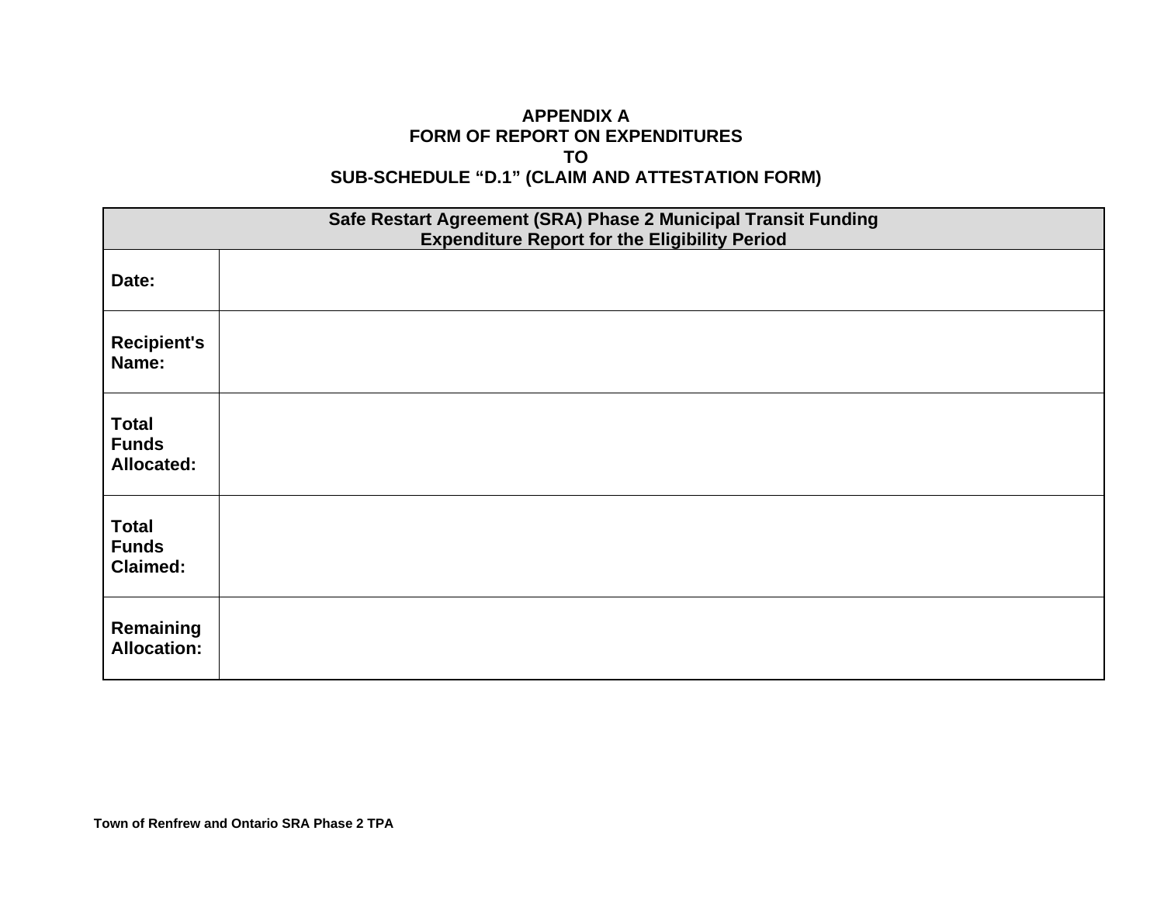## **APPENDIX A FORM OF REPORT ON EXPENDITURES TO SUB-SCHEDULE "D.1" (CLAIM AND ATTESTATION FORM)**

| Safe Restart Agreement (SRA) Phase 2 Municipal Transit Funding<br><b>Expenditure Report for the Eligibility Period</b> |  |  |  |  |  |
|------------------------------------------------------------------------------------------------------------------------|--|--|--|--|--|
| Date:                                                                                                                  |  |  |  |  |  |
| <b>Recipient's</b><br>Name:                                                                                            |  |  |  |  |  |
| <b>Total</b><br><b>Funds</b><br><b>Allocated:</b>                                                                      |  |  |  |  |  |
| <b>Total</b><br><b>Funds</b><br><b>Claimed:</b>                                                                        |  |  |  |  |  |
| Remaining<br><b>Allocation:</b>                                                                                        |  |  |  |  |  |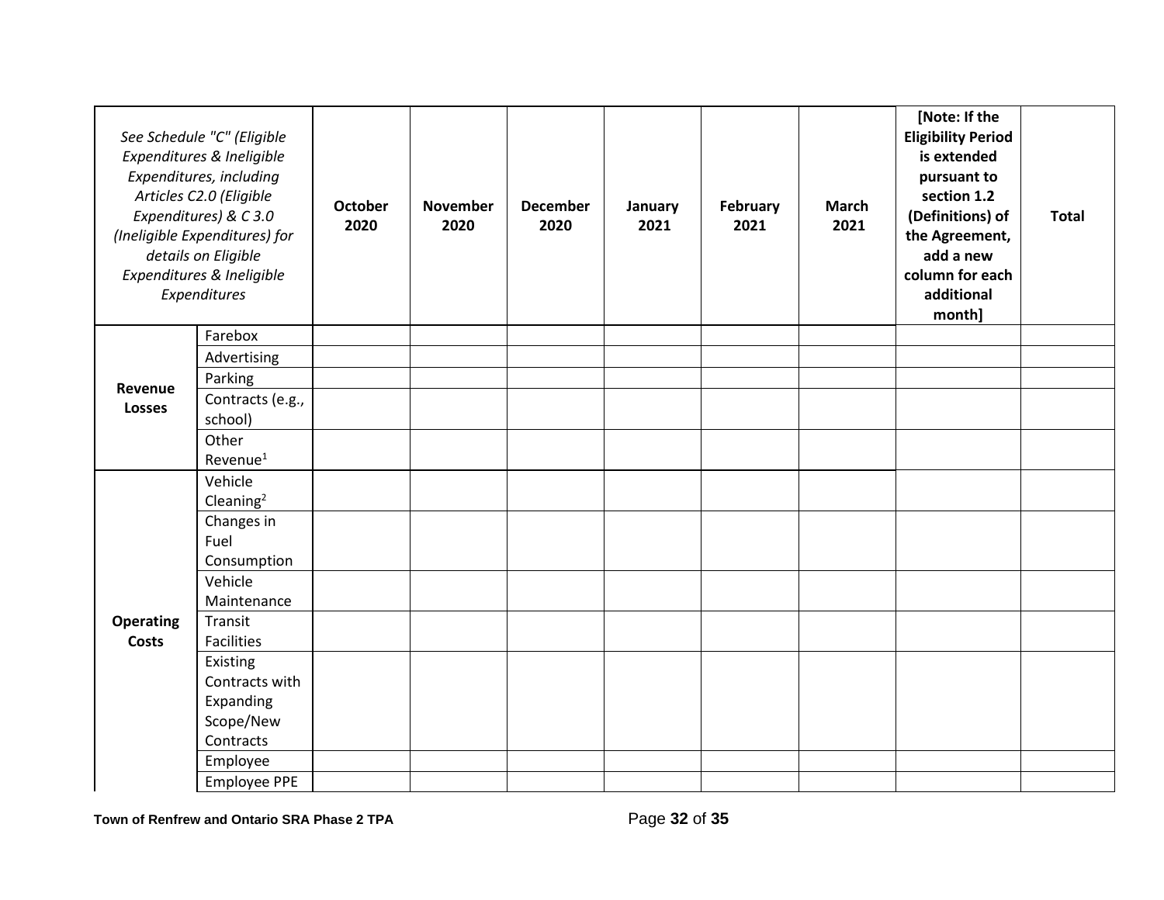|                                  | See Schedule "C" (Eligible<br>Expenditures & Ineligible<br>Expenditures, including<br>Articles C2.0 (Eligible<br>Expenditures) & C3.0<br>(Ineligible Expenditures) for<br>details on Eligible<br>Expenditures & Ineligible<br>Expenditures | <b>October</b><br>2020 | <b>November</b><br>2020 | <b>December</b><br>2020 | January<br>2021 | February<br>2021 | <b>March</b><br>2021 | [Note: If the<br><b>Eligibility Period</b><br>is extended<br>pursuant to<br>section 1.2<br>(Definitions) of<br>the Agreement,<br>add a new<br>column for each<br>additional<br>month] | <b>Total</b> |
|----------------------------------|--------------------------------------------------------------------------------------------------------------------------------------------------------------------------------------------------------------------------------------------|------------------------|-------------------------|-------------------------|-----------------|------------------|----------------------|---------------------------------------------------------------------------------------------------------------------------------------------------------------------------------------|--------------|
|                                  | Farebox                                                                                                                                                                                                                                    |                        |                         |                         |                 |                  |                      |                                                                                                                                                                                       |              |
|                                  | Advertising                                                                                                                                                                                                                                |                        |                         |                         |                 |                  |                      |                                                                                                                                                                                       |              |
| Revenue                          | Parking                                                                                                                                                                                                                                    |                        |                         |                         |                 |                  |                      |                                                                                                                                                                                       |              |
| <b>Losses</b>                    | Contracts (e.g.,<br>school)                                                                                                                                                                                                                |                        |                         |                         |                 |                  |                      |                                                                                                                                                                                       |              |
|                                  | Other<br>Revenue <sup>1</sup>                                                                                                                                                                                                              |                        |                         |                         |                 |                  |                      |                                                                                                                                                                                       |              |
| <b>Operating</b><br><b>Costs</b> | Vehicle<br>Cleaning $2$                                                                                                                                                                                                                    |                        |                         |                         |                 |                  |                      |                                                                                                                                                                                       |              |
|                                  | Changes in<br>Fuel<br>Consumption                                                                                                                                                                                                          |                        |                         |                         |                 |                  |                      |                                                                                                                                                                                       |              |
|                                  | Vehicle<br>Maintenance                                                                                                                                                                                                                     |                        |                         |                         |                 |                  |                      |                                                                                                                                                                                       |              |
|                                  | Transit<br><b>Facilities</b>                                                                                                                                                                                                               |                        |                         |                         |                 |                  |                      |                                                                                                                                                                                       |              |
|                                  | Existing<br>Contracts with<br>Expanding                                                                                                                                                                                                    |                        |                         |                         |                 |                  |                      |                                                                                                                                                                                       |              |
|                                  | Scope/New<br>Contracts                                                                                                                                                                                                                     |                        |                         |                         |                 |                  |                      |                                                                                                                                                                                       |              |
|                                  | Employee                                                                                                                                                                                                                                   |                        |                         |                         |                 |                  |                      |                                                                                                                                                                                       |              |
|                                  | <b>Employee PPE</b>                                                                                                                                                                                                                        |                        |                         |                         |                 |                  |                      |                                                                                                                                                                                       |              |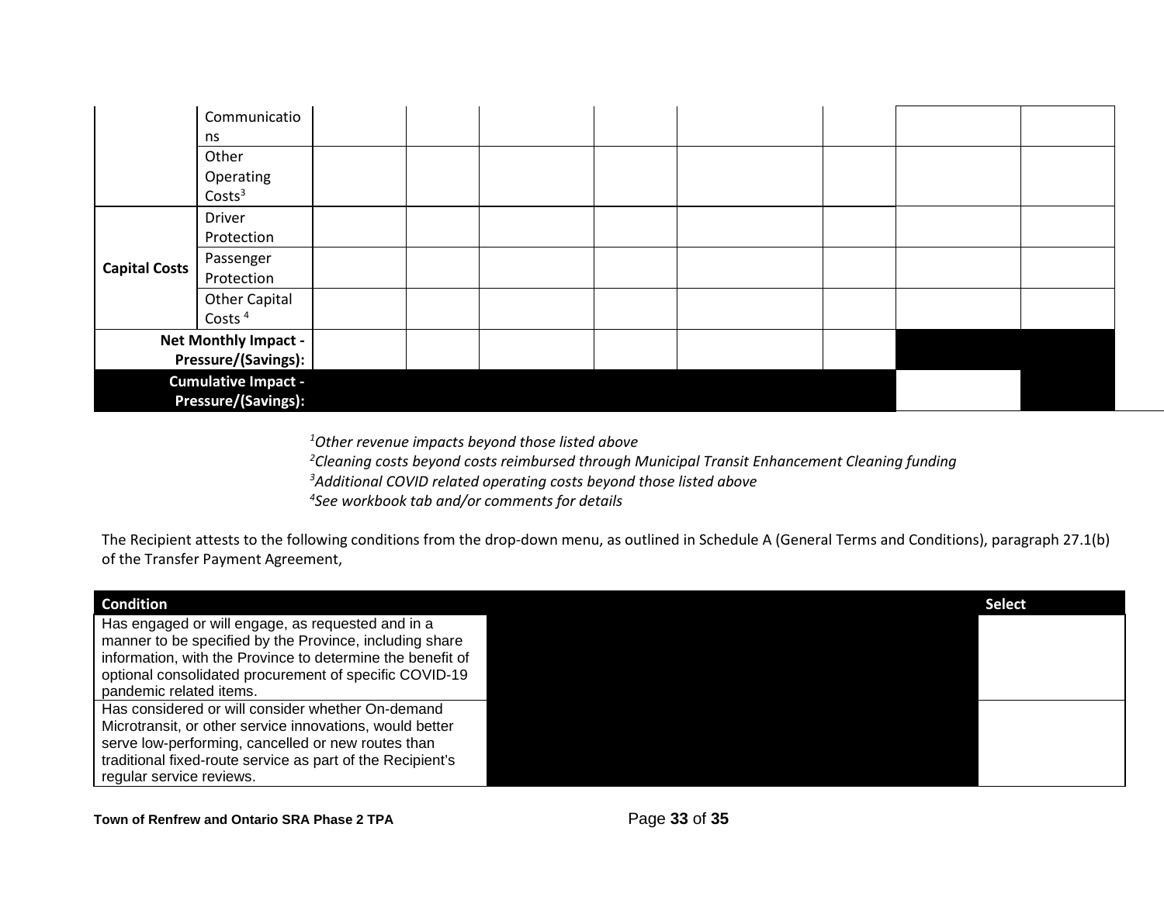|                            | Communicatio                |  |  |  |  |
|----------------------------|-----------------------------|--|--|--|--|
|                            | ns                          |  |  |  |  |
|                            | Other                       |  |  |  |  |
|                            | Operating                   |  |  |  |  |
|                            | Costs <sup>3</sup>          |  |  |  |  |
|                            | <b>Driver</b>               |  |  |  |  |
|                            | Protection                  |  |  |  |  |
| <b>Capital Costs</b>       | Passenger                   |  |  |  |  |
|                            | Protection                  |  |  |  |  |
|                            | <b>Other Capital</b>        |  |  |  |  |
|                            | Costs <sup>4</sup>          |  |  |  |  |
|                            | <b>Net Monthly Impact -</b> |  |  |  |  |
|                            | Pressure/(Savings):         |  |  |  |  |
| <b>Cumulative Impact -</b> |                             |  |  |  |  |
|                            | Pressure/(Savings):         |  |  |  |  |

*1 Other revenue impacts beyond those listed above*

*2 Cleaning costs beyond costs reimbursed through Municipal Transit Enhancement Cleaning funding 3 Additional COVID related operating costs beyond those listed above 4 See workbook tab and/or comments for details*

The Recipient attests to the following conditions from the drop-down menu, as outlined in Schedule A (General Terms and Conditions), paragraph 27.1(b) of the Transfer Payment Agreement,

| <b>Condition</b>                                                                                             | <b>Select</b> |
|--------------------------------------------------------------------------------------------------------------|---------------|
| Has engaged or will engage, as requested and in a<br>manner to be specified by the Province, including share |               |
| information, with the Province to determine the benefit of                                                   |               |
| optional consolidated procurement of specific COVID-19                                                       |               |
| pandemic related items.                                                                                      |               |
| Has considered or will consider whether On-demand                                                            |               |
| Microtransit, or other service innovations, would better                                                     |               |
| serve low-performing, cancelled or new routes than                                                           |               |
| traditional fixed-route service as part of the Recipient's                                                   |               |
| regular service reviews.                                                                                     |               |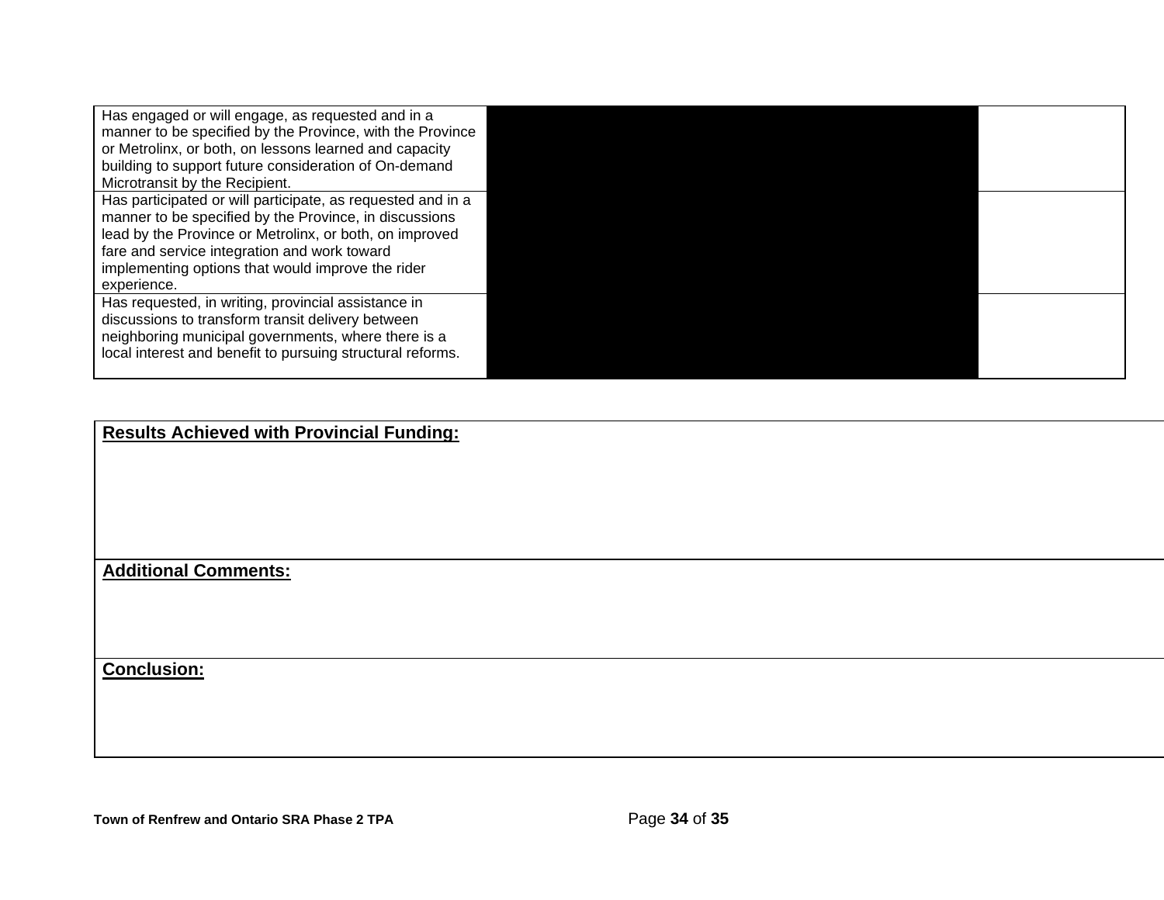Has engaged or will engage, as requested and in a manner to be specified by the Province, with the Province or Metrolinx, or both, on lessons learned and capacity building to support future consideration of On-demand Microtransit by the Recipient. Has participated or will participate, as requested and in a manner to be specified by the Province, in discussions lead by the Province or Metrolinx, or both, on improved fare and service integration and work toward implementing options that would improve the rider experience. Has requested, in writing, provincial assistance in discussions to transform transit delivery between neighboring municipal governments, where there is a local interest and benefit to pursuing structural reforms.

**Results Achieved with Provincial Funding:**

**Additional Comments:**

**Conclusion:**